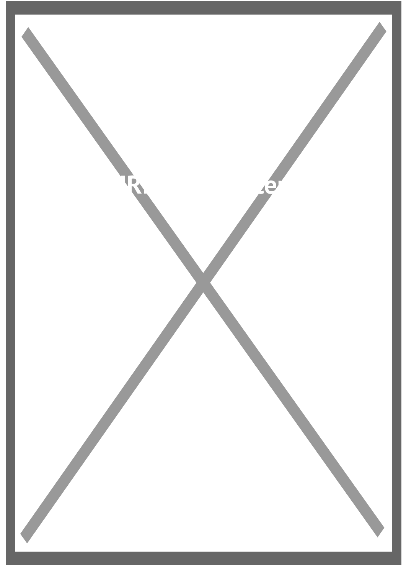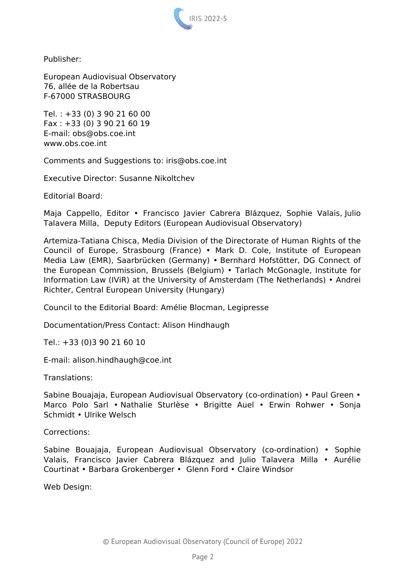

Publisher:

European Audiovisual Observatory 76, allée de la Robertsau F-67000 STRASBOURG

Tel. : +33 (0) 3 90 21 60 00 Fax : +33 (0) 3 90 21 60 19 E-mail: obs@obs.coe.int www.obs.coe.int

Comments and Suggestions to: iris@obs.coe.int

Executive Director: Susanne Nikoltchev

Editorial Board:

Maja Cappello, Editor • Francisco Javier Cabrera Blázquez, Sophie Valais, Julio Talavera Milla, Deputy Editors (European Audiovisual Observatory)

Artemiza-Tatiana Chisca, Media Division of the Directorate of Human Rights of the Council of Europe, Strasbourg (France) • Mark D. Cole, Institute of European Media Law (EMR), Saarbrücken (Germany) • Bernhard Hofstötter, DG Connect of the European Commission, Brussels (Belgium) • Tarlach McGonagle, Institute for Information Law (IViR) at the University of Amsterdam (The Netherlands) • Andrei Richter, Central European University (Hungary)

Council to the Editorial Board: Amélie Blocman, Legipresse

Documentation/Press Contact: Alison Hindhaugh

Tel.: +33 (0)3 90 21 60 10

E-mail: alison.hindhaugh@coe.int

Translations:

Sabine Bouajaja, European Audiovisual Observatory (co-ordination) • Paul Green • Marco Polo Sarl • Nathalie Sturlèse • Brigitte Auel • Erwin Rohwer • Sonja Schmidt • Ulrike Welsch

Corrections:

Sabine Bouajaja, European Audiovisual Observatory (co-ordination) • Sophie Valais, Francisco Javier Cabrera Blázquez and Julio Talavera Milla • Aurélie Courtinat • Barbara Grokenberger • Glenn Ford • Claire Windsor

Web Design: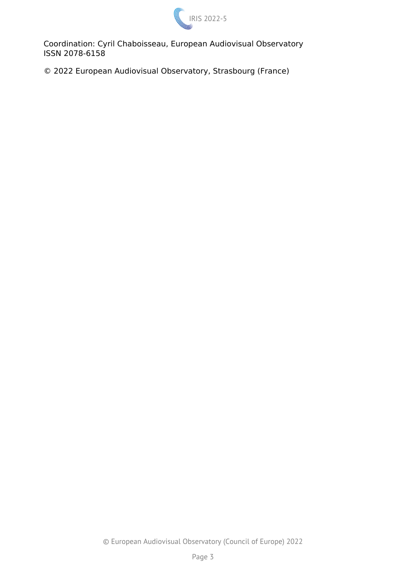

Coordination: Cyril Chaboisseau, European Audiovisual Observatory ISSN 2078-6158

© 2022 European Audiovisual Observatory, Strasbourg (France)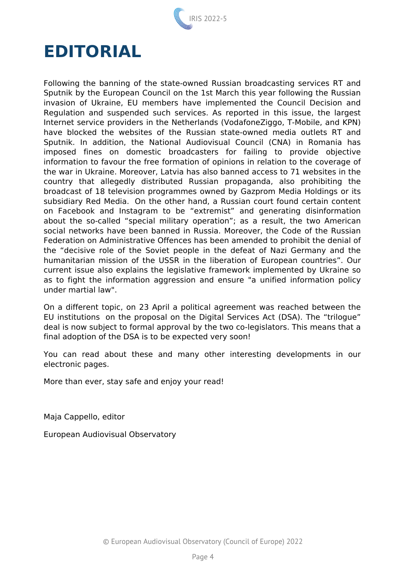# **EDITORIAL**

Following the banning of the state-owned Russian broadcasting services RT and Sputnik by the European Council on the 1st March this year following the Russian invasion of Ukraine, EU members have implemented the Council Decision and Regulation and suspended such services. As reported in this issue, the largest Internet service providers in the Netherlands (VodafoneZiggo, T-Mobile, and KPN) have blocked the websites of the Russian state-owned media outlets RT and Sputnik. In addition, the National Audiovisual Council (CNA) in Romania has imposed fines on domestic broadcasters for failing to provide objective information to favour the free formation of opinions in relation to the coverage of the war in Ukraine. Moreover, Latvia has also banned access to 71 websites in the country that allegedly distributed Russian propaganda, also prohibiting the broadcast of 18 television programmes owned by Gazprom Media Holdings or its subsidiary Red Media. On the other hand, a Russian court found certain content on Facebook and Instagram to be "extremist" and generating disinformation about the so-called "special military operation"; as a result, the two American social networks have been banned in Russia. Moreover, the Code of the Russian Federation on Administrative Offences has been amended to prohibit the denial of the "decisive role of the Soviet people in the defeat of Nazi Germany and the humanitarian mission of the USSR in the liberation of European countries". Our current issue also explains the legislative framework implemented by Ukraine so as to fight the information aggression and ensure "a unified information policy under martial law".

On a different topic, on 23 April a political agreement was reached between the EU institutions on the proposal on the Digital Services Act (DSA). The "trilogue" deal is now subject to formal approval by the two co-legislators. This means that a final adoption of the DSA is to be expected very soon!

You can read about these and many other interesting developments in our electronic pages.

More than ever, stay safe and enjoy your read!

Maja Cappello, editor

European Audiovisual Observatory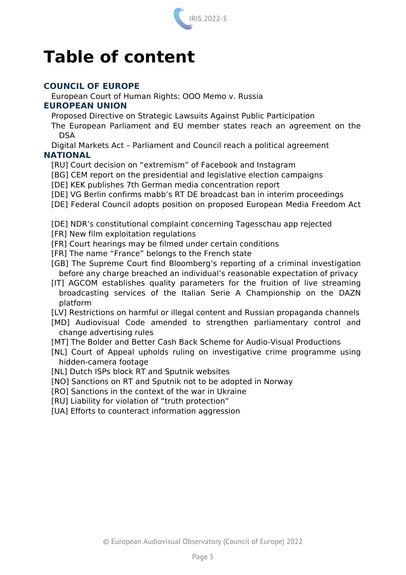# Table of content

#### [COUNCIL OF EUR](#page-5-0)OPE

[European Court of Human Rights: OOO](#page-5-0) Memo v. Russia [EUROPEAN UN](#page-8-0)ION

[Proposed Directive on Strategic Lawsuits Agains](#page-8-0)t Public Particip [The European Parliament and EU member states reach](#page-12-0) an ag [DS](#page-12-0)A

[Digital Markets Act Parliament and Council reach](#page-10-0) a political ag [NATIONA](#page-14-0)L

[\[RU\] Court decision on extremism of Facebo](#page-14-0)ok and Instagram

[BG] þÿþÿþÿ CEM report on the presidential and legislative election

[\[DE\] KEK publishes 7th German media con](#page-20-0)centration report

[\[DE\] VG Berlin confirms mabb s RT DE broadcast ban](#page-24-0) in interim proceeding

[\[DE\] Federal Council adopts position on proposed Europ](#page-18-0)ean Media

[\[DE\] NDR s constitutional complaint concerning Tag](#page-22-0)esschau app

[\[FR\] New film exploitation](#page-28-0) regulations

[\[FR\] Court hearings may be filmed under c](#page-26-0)ertain conditions

[\[FR\] The name France belongs to th](#page-30-0)e French state

[\[GB\] The Supreme Court find Bloomberg s reporting of](#page-32-0) a crimi [before any charge breached an individual s reasonable](#page-32-0) expectation of private and private private private and p

[\[IT\] AGCOM establishes quality parameters for the f](#page-34-0)ruition [broadcasting services of the Italian Serie A Cha](#page-34-0)mpionsh [platfo](#page-34-0)rm

[\[LV\] Restrictions on harmful or illegal content and Russi](#page-36-0)an propa

[\[MD\] Audiovisual Code amended to strengthen par](#page-39-0)liament [change advertisin](#page-39-0)g rules

[\[MT\] The Bolder and Better Cash Back Scheme for Au](#page-41-0)dio-Visual F

[\[NL\] Court of Appeal upholds ruling on investigative](#page-43-0) crime [hidden-camera fo](#page-43-0)otage

[\[NL\] Dutch ISPs block RT and Sp](#page-45-0)utnik websites

[\[NO\] þÿSanctions on RT and Sputnik not to be](#page-47-0) adopted in Norway

[\[RO\] Sanctions in the context of the](#page-49-0) war in Ukraine

[\[RU\] Liability for violation of tru](#page-53-0)th protection

[\[UA\] Efforts to counteract informat](#page-55-0)ion aggression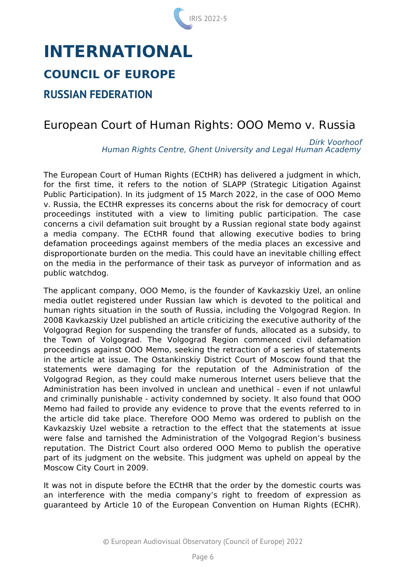

# <span id="page-5-0"></span>**INTERNATIONAL COUNCIL OF EUROPE RUSSIAN FEDERATION**

# European Court of Human Rights: OOO Memo v. Russia

*Dirk Voorhoof Human Rights Centre, Ghent University and Legal Human Academy*

The European Court of Human Rights (ECtHR) has delivered a judgment in which, for the first time, it refers to the notion of SLAPP (Strategic Litigation Against Public Participation). In its judgment of 15 March 2022, in the case of OOO Memo v. Russia, the ECtHR expresses its concerns about the risk for democracy of court proceedings instituted with a view to limiting public participation. The case concerns a civil defamation suit brought by a Russian regional state body against a media company. The ECtHR found that allowing executive bodies to bring defamation proceedings against members of the media places an excessive and disproportionate burden on the media. This could have an inevitable chilling effect on the media in the performance of their task as purveyor of information and as public watchdog.

The applicant company, OOO Memo, is the founder of Kavkazskiy Uzel, an online media outlet registered under Russian law which is devoted to the political and human rights situation in the south of Russia, including the Volgograd Region. In 2008 Kavkazskiy Uzel published an article criticizing the executive authority of the Volgograd Region for suspending the transfer of funds, allocated as a subsidy, to the Town of Volgograd. The Volgograd Region commenced civil defamation proceedings against OOO Memo, seeking the retraction of a series of statements in the article at issue. The Ostankinskiy District Court of Moscow found that the statements were damaging for the reputation of the Administration of the Volgograd Region, as they could make numerous Internet users believe that the Administration has been involved in unclean and unethical - even if not unlawful and criminally punishable - activity condemned by society. It also found that OOO Memo had failed to provide any evidence to prove that the events referred to in the article did take place. Therefore OOO Memo was ordered to publish on the Kavkazskiy Uzel website a retraction to the effect that the statements at issue were false and tarnished the Administration of the Volgograd Region's business reputation. The District Court also ordered OOO Memo to publish the operative part of its judgment on the website. This judgment was upheld on appeal by the Moscow City Court in 2009.

It was not in dispute before the ECtHR that the order by the domestic courts was an interference with the media company's right to freedom of expression as guaranteed by Article 10 of the European Convention on Human Rights (ECHR).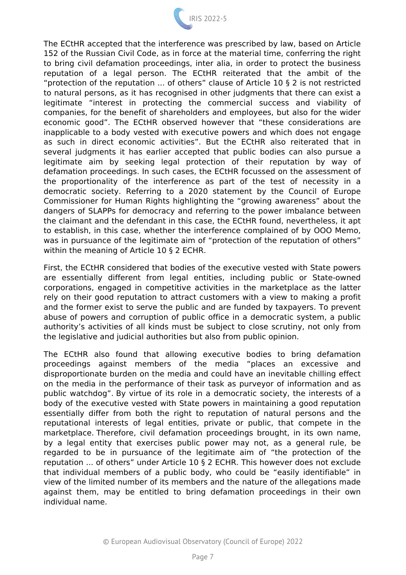

The ECtHR accepted that the interference was prescribed by law, based on Article 152 of the Russian Civil Code, as in force at the material time, conferring the right to bring civil defamation proceedings, inter alia, in order to protect the business reputation of a legal person. The ECtHR reiterated that the ambit of the "protection of the reputation ... of others" clause of Article 10 § 2 is not restricted to natural persons, as it has recognised in other judgments that there can exist a legitimate "interest in protecting the commercial success and viability of companies, for the benefit of shareholders and employees, but also for the wider economic good". The ECtHR observed however that "these considerations are inapplicable to a body vested with executive powers and which does not engage as such in direct economic activities". But the ECtHR also reiterated that in several judgments it has earlier accepted that public bodies can also pursue a legitimate aim by seeking legal protection of their reputation by way of defamation proceedings. In such cases, the ECtHR focussed on the assessment of the proportionality of the interference as part of the test of necessity in a democratic society. Referring to a 2020 statement by the Council of Europe Commissioner for Human Rights highlighting the "growing awareness" about the dangers of SLAPPs for democracy and referring to the power imbalance between the claimant and the defendant in this case, the ECtHR found, nevertheless, it apt to establish, in this case, whether the interference complained of by OOO Memo, was in pursuance of the legitimate aim of "protection of the reputation of others" within the meaning of Article 10 § 2 ECHR.

First, the ECtHR considered that bodies of the executive vested with State powers are essentially different from legal entities, including public or State-owned corporations, engaged in competitive activities in the marketplace as the latter rely on their good reputation to attract customers with a view to making a profit and the former exist to serve the public and are funded by taxpayers. To prevent abuse of powers and corruption of public office in a democratic system, a public authority's activities of all kinds must be subject to close scrutiny, not only from the legislative and judicial authorities but also from public opinion.

The ECtHR also found that allowing executive bodies to bring defamation proceedings against members of the media "places an excessive and disproportionate burden on the media and could have an inevitable chilling effect on the media in the performance of their task as purveyor of information and as public watchdog". By virtue of its role in a democratic society, the interests of a body of the executive vested with State powers in maintaining a good reputation essentially differ from both the right to reputation of natural persons and the reputational interests of legal entities, private or public, that compete in the marketplace. Therefore, civil defamation proceedings brought, in its own name, by a legal entity that exercises public power may not, as a general rule, be regarded to be in pursuance of the legitimate aim of "the protection of the reputation ... of others" under Article 10 § 2 ECHR. This however does not exclude that individual members of a public body, who could be "easily identifiable" in view of the limited number of its members and the nature of the allegations made against them, may be entitled to bring defamation proceedings in their own individual name.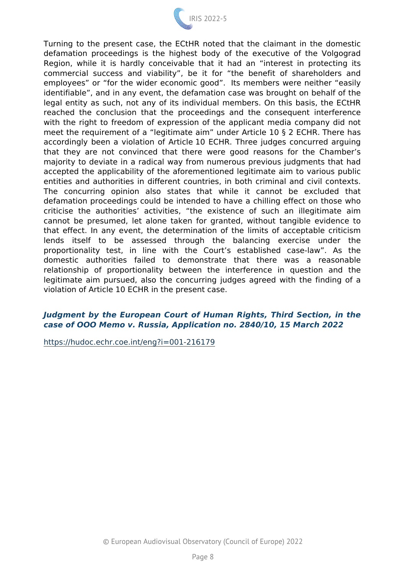Turning to the present case, the ECtHR noted that the claiman defamation proceedings is the highest body of the executive Region, while it is hardly conceivable that it had an intere commercial success and viability, be it for the benefit of employees or for the wider economic good. Its members were identifiable, and in any event, the defamation case was brought legal entity as such, not any of its individual members. On this reached the conclusion that the proceedings and the conseq with the right to freedom of expression of the applicant media meet the requirement of a legitimate aim under Article 10  $\S$  2 accordingly been a violation of Article 10 ECHR. Three judges that they are not convinced that there were good reasons f majority to deviate in a radical way from numerous previous jud accepted the applicability of the aforementioned legitimate aim entities and authorities in different countries, in both criminal The concurring opinion also states that while it cannot defamation proceedings could be intended to have a chilling effect criticise the authorities activities, the existence of such cannot be presumed, let alone taken for granted, without tang that effect. In any event, the determination of the limits of adlends itself to be assessed through the balancing proportionality test, in line with the Court s established domestic authorities failed to demonstrate that there relationship of proportionality between the interference in legitimate aim pursued, also the concurring judges agreed with violation of Article 10 ECHR in the present case.

Judgment by the European Court of Human Rights, Third Section case of OOO Memo v. Russia, Application no. 2840/10, 15 March 2

[https://hudoc.echr.coe.int/eng?i](https://hudoc.echr.coe.int/eng?i=001-216179)=001-216179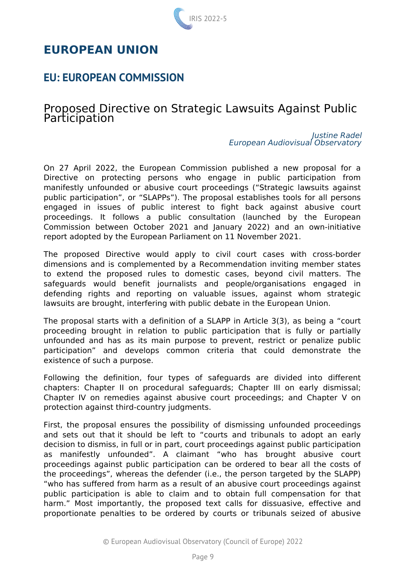

# <span id="page-8-0"></span>**EUROPEAN UNION**

# **EU: EUROPEAN COMMISSION**

### Proposed Directive on Strategic Lawsuits Against Public Participation

*Justine Radel European Audiovisual Observatory*

On 27 April 2022, the European Commission published a new proposal for a Directive on protecting persons who engage in public participation from manifestly unfounded or abusive court proceedings ("Strategic lawsuits against public participation", or "SLAPPs"). The proposal establishes tools for all persons engaged in issues of public interest to fight back against abusive court proceedings. It follows a public consultation (launched by the European Commission between October 2021 and January 2022) and an own-initiative report adopted by the European Parliament on 11 November 2021.

The proposed Directive would apply to civil court cases with cross-border dimensions and is complemented by a Recommendation inviting member states to extend the proposed rules to domestic cases, beyond civil matters. The safeguards would benefit journalists and people/organisations engaged in defending rights and reporting on valuable issues, against whom strategic lawsuits are brought, interfering with public debate in the European Union.

The proposal starts with a definition of a SLAPP in Article 3(3), as being a "court proceeding brought in relation to public participation that is fully or partially unfounded and has as its main purpose to prevent, restrict or penalize public participation" and develops common criteria that could demonstrate the existence of such a purpose.

Following the definition, four types of safeguards are divided into different chapters: Chapter II on procedural safeguards; Chapter III on early dismissal; Chapter IV on remedies against abusive court proceedings; and Chapter V on protection against third-country judgments.

First, the proposal ensures the possibility of dismissing unfounded proceedings and sets out that it should be left to "courts and tribunals to adopt an early decision to dismiss, in full or in part, court proceedings against public participation as manifestly unfounded". A claimant "who has brought abusive court proceedings against public participation can be ordered to bear all the costs of the proceedings", whereas the defender (i.e., the person targeted by the SLAPP) "who has suffered from harm as a result of an abusive court proceedings against public participation is able to claim and to obtain full compensation for that harm." Most importantly, the proposed text calls for dissuasive, effective and proportionate penalties to be ordered by courts or tribunals seized of abusive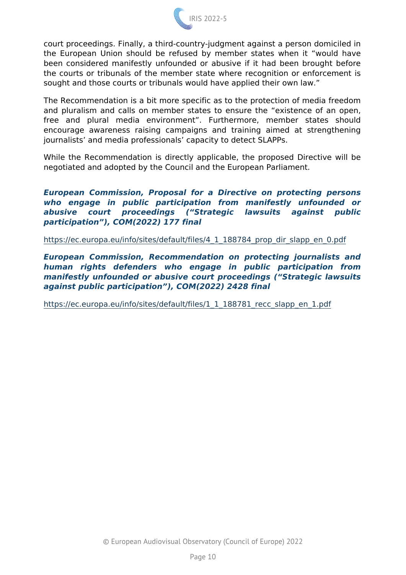court proceedings. Finally, a third-country-judgment against a per the European Union should be refused by member states when been considered manifestly unfounded or abusive if it had bee the courts or tribunals of the member state where recognition or sought and those courts or tribunals would have applied their own

The Recommendation is a bit more specific as to the protection o and pluralism and calls on member states to ensure the exist free and plural media environment . Furthermore, memb encourage awareness raising campaigns and training aimed journalists and media professionals capacity to detect SLAPPs.

While the Recommendation is directly applicable, the proposed negotiated and adopted by the Council and the European Parliame

European Commission, Proposal for a Directive on protecting who engage in public participation from manifestly unfor abusive court proceedings (Strategic lawsuits ag participation ), COM(2022) 177 final

[https://ec.europa.eu/info/sites/default/files/4\\_1\\_188784\\_](https://ec.europa.eu/info/sites/default/files/4_1_188784_prop_dir_slapp_en_0.pdf)prop\_dir\_s

European Commission, Recommendation on protecting journali human rights defenders who engage in public participation manifestly unfounded or abusive court proceedings (Strategic Ia against public participation ), COM(2022) 2428 final

[https://ec.europa.eu/info/sites/default/files/1\\_1\\_1887](https://ec.europa.eu/info/sites/default/files/1_1_188781_recc_slapp_en_1.pdf)81\_recc\_slapp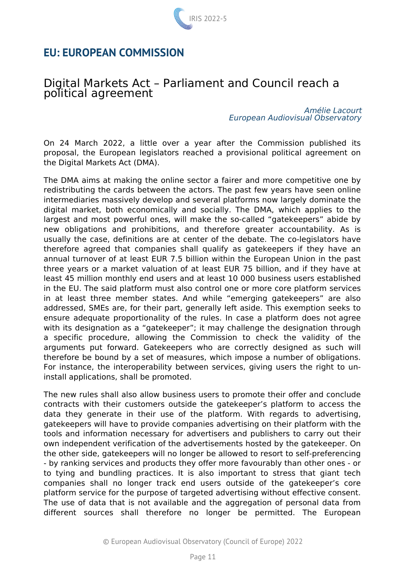

### <span id="page-10-0"></span>**EU: EUROPEAN COMMISSION**

### Digital Markets Act – Parliament and Council reach a political agreement

#### *Amélie Lacourt European Audiovisual Observatory*

On 24 March 2022, a little over a year after the Commission published its proposal, the European legislators reached a provisional political agreement on the Digital Markets Act (DMA).

The DMA aims at making the online sector a fairer and more competitive one by redistributing the cards between the actors. The past few years have seen online intermediaries massively develop and several platforms now largely dominate the digital market, both economically and socially. The DMA, which applies to the largest and most powerful ones, will make the so-called "gatekeepers" abide by new obligations and prohibitions, and therefore greater accountability. As is usually the case, definitions are at center of the debate. The co-legislators have therefore agreed that companies shall qualify as gatekeepers if they have an annual turnover of at least EUR 7.5 billion within the European Union in the past three years or a market valuation of at least EUR 75 billion, and if they have at least 45 million monthly end users and at least 10 000 business users established in the EU. The said platform must also control one or more core platform services in at least three member states. And while "emerging gatekeepers" are also addressed, SMEs are, for their part, generally left aside. This exemption seeks to ensure adequate proportionality of the rules. In case a platform does not agree with its designation as a "gatekeeper"; it may challenge the designation through a specific procedure, allowing the Commission to check the validity of the arguments put forward. Gatekeepers who are correctly designed as such will therefore be bound by a set of measures, which impose a number of obligations. For instance, the interoperability between services, giving users the right to uninstall applications, shall be promoted.

The new rules shall also allow business users to promote their offer and conclude contracts with their customers outside the gatekeeper's platform to access the data they generate in their use of the platform. With regards to advertising, gatekeepers will have to provide companies advertising on their platform with the tools and information necessary for advertisers and publishers to carry out their own independent verification of the advertisements hosted by the gatekeeper. On the other side, gatekeepers will no longer be allowed to resort to self-preferencing - by ranking services and products they offer more favourably than other ones - or to tying and bundling practices. It is also important to stress that giant tech companies shall no longer track end users outside of the gatekeeper's core platform service for the purpose of targeted advertising without effective consent. The use of data that is not available and the aggregation of personal data from different sources shall therefore no longer be permitted. The European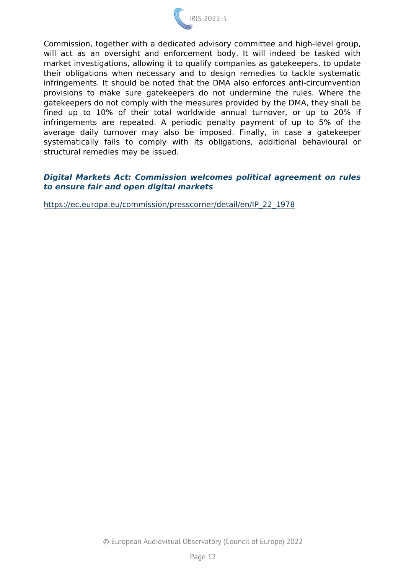Commission, together with a dedicated advisory committee and h will act as an oversight and enforcement body. It will inde market investigations, allowing it to qualify companies as gateke their obligations when necessary and to design remedies to infringements. It should be noted that the DMA also enforces a provisions to make sure gatekeepers do not undermine the gatekeepers do not comply with the measures provided by the DM. fined up to 10% of their total worldwide annual turnover, infringements are repeated. A periodic penalty payment of average daily turnover may also be imposed. Finally, in d systematically fails to comply with its obligations, additio structural remedies may be issued.

Digital Markets Act: Commission welcomes political agreement on to ensure fair and open digital markets

[https://ec.europa.eu/commission/presscorner/d](https://ec.europa.eu/commission/presscorner/detail/en/IP_22_1978)etail/en/IP\_22\_1978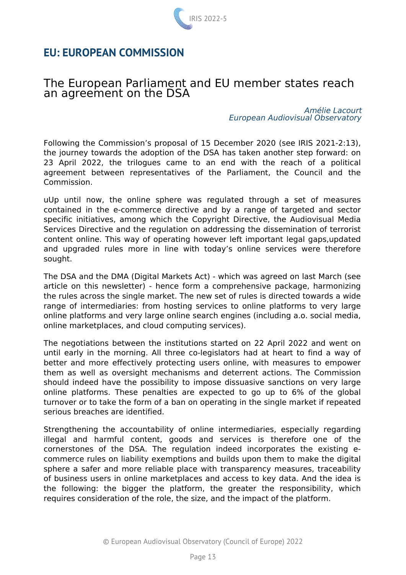

# <span id="page-12-0"></span>**EU: EUROPEAN COMMISSION**

### The European Parliament and EU member states reach an agreement on the DSA

*Amélie Lacourt European Audiovisual Observatory*

Following the Commission's proposal of 15 December 2020 (see IRIS 2021-2:13), the journey towards the adoption of the DSA has taken another step forward: on 23 April 2022, the trilogues came to an end with the reach of a political agreement between representatives of the Parliament, the Council and the Commission.

uUp until now, the online sphere was regulated through a set of measures contained in the e-commerce directive and by a range of targeted and sector specific initiatives, among which the Copyright Directive, the Audiovisual Media Services Directive and the regulation on addressing the dissemination of terrorist content online. This way of operating however left important legal gaps,updated and upgraded rules more in line with today's online services were therefore sought.

The DSA and the DMA (Digital Markets Act) - which was agreed on last March (see article on this newsletter) - hence form a comprehensive package, harmonizing the rules across the single market. The new set of rules is directed towards a wide range of intermediaries: from hosting services to online platforms to very large online platforms and very large online search engines (including a.o. social media, online marketplaces, and cloud computing services).

The negotiations between the institutions started on 22 April 2022 and went on until early in the morning. All three co-legislators had at heart to find a way of better and more effectively protecting users online, with measures to empower them as well as oversight mechanisms and deterrent actions. The Commission should indeed have the possibility to impose dissuasive sanctions on very large online platforms. These penalties are expected to go up to 6% of the global turnover or to take the form of a ban on operating in the single market if repeated serious breaches are identified.

Strengthening the accountability of online intermediaries, especially regarding illegal and harmful content, goods and services is therefore one of the cornerstones of the DSA. The regulation indeed incorporates the existing ecommerce rules on liability exemptions and builds upon them to make the digital sphere a safer and more reliable place with transparency measures, traceability of business users in online marketplaces and access to key data. And the idea is the following: the bigger the platform, the greater the responsibility, which requires consideration of the role, the size, and the impact of the platform.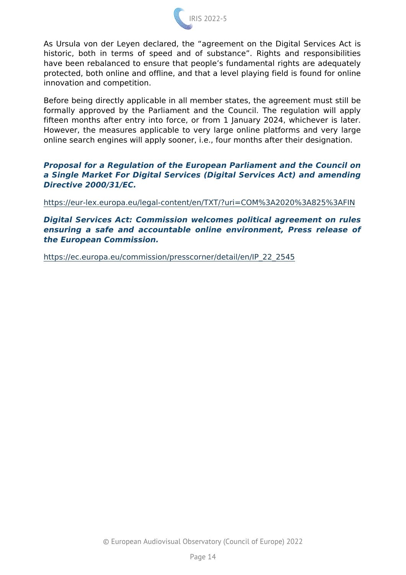As Ursula von der Leyen declared, the agreement on the Digita historic, both in terms of speed and of substance . Rights and have been rebalanced to ensure that people s fundamental rights protected, both online and offline, and that a level playing field innovation and competition.

Before being directly applicable in all member states, the agreem formally approved by the Parliament and the Council. The reg fifteen months after entry into force, or from 1 January 2024, which However, the measures applicable to very large online platform online search engines will apply sooner, i.e., four months after th

Proposal for a Regulation of the European Parliament and the Co a Single Market For Digital Services (Digital Services Act) and a Directive 2000/31/EC.

[https://eur-lex.europa.eu/legal-content/en/TXT/?uri=COM%](https://eur-lex.europa.eu/legal-content/en/TXT/?uri=COM:2020:825:FIN)3A2020%

Digital Services Act: Commission welcomes political agreement ensuring a safe and accountable online environment, Press re the European Commission.

[https://ec.europa.eu/commission/presscorner/d](https://ec.europa.eu/commission/presscorner/detail/en/IP_22_2545)etail/en/IP\_22\_2545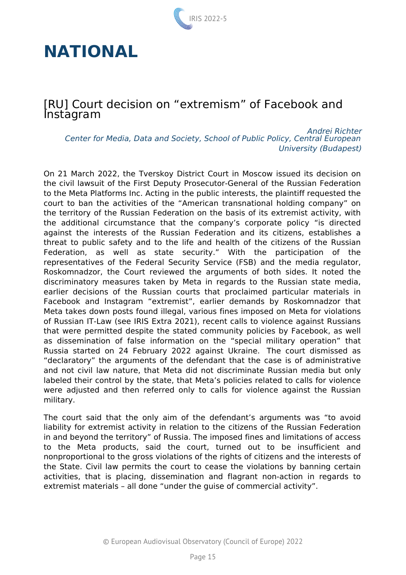# <span id="page-14-0"></span>**NATIONAL**

### [RU] Court decision on "extremism" of Facebook and Instagram

*Andrei Richter Center for Media, Data and Society, School of Public Policy, Central European University (Budapest)*

On 21 March 2022, the Tverskoy District Court in Moscow issued its decision on the civil lawsuit of the First Deputy Prosecutor-General of the Russian Federation to the Meta Platforms Inc. Acting in the public interests, the plaintiff requested the court to ban the activities of the "American transnational holding company" on the territory of the Russian Federation on the basis of its extremist activity, with the additional circumstance that the company's corporate policy "is directed against the interests of the Russian Federation and its citizens, establishes a threat to public safety and to the life and health of the citizens of the Russian Federation, as well as state security." With the participation of the representatives of the Federal Security Service (FSB) and the media regulator, Roskomnadzor, the Court reviewed the arguments of both sides. It noted the discriminatory measures taken by Meta in regards to the Russian state media, earlier decisions of the Russian courts that proclaimed particular materials in Facebook and Instagram "extremist", earlier demands by Roskomnadzor that Meta takes down posts found illegal, various fines imposed on Meta for violations of Russian IT-Law (see IRIS Extra 2021), recent calls to violence against Russians that were permitted despite the stated community policies by Facebook, as well as dissemination of false information on the "special military operation" that Russia started on 24 February 2022 against Ukraine. The court dismissed as "declaratory" the arguments of the defendant that the case is of administrative and not civil law nature, that Meta did not discriminate Russian media but only labeled their control by the state, that Meta's policies related to calls for violence were adjusted and then referred only to calls for violence against the Russian military.

The court said that the only aim of the defendant's arguments was "to avoid liability for extremist activity in relation to the citizens of the Russian Federation in and beyond the territory" of Russia. The imposed fines and limitations of access to the Meta products, said the court, turned out to be insufficient and nonproportional to the gross violations of the rights of citizens and the interests of the State. Civil law permits the court to cease the violations by banning certain activities, that is placing, dissemination and flagrant non-action in regards to extremist materials – all done "under the guise of commercial activity".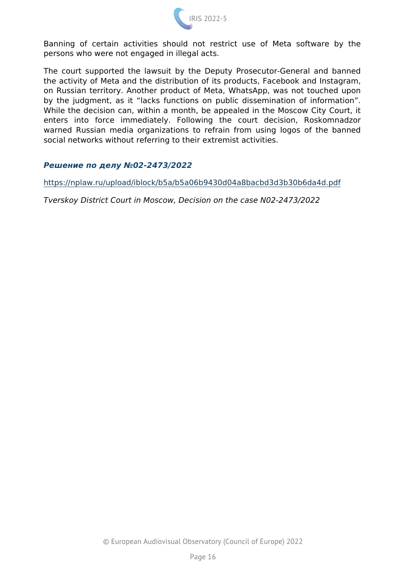Banning of certain activities should not restrict use of Met persons who were not engaged in illegal acts.

The court supported the lawsuit by the Deputy Prosecutor-Gen the activity of Meta and the distribution of its products, Facebod on Russian territory. Another product of Meta, WhatsApp, was r by the judgment, as it lacks functions on public dissemination While the decision can, within a month, be appealed in the Mose enters into force immediately. Following the court decisi warned Russian media organizations to refrain from using logo social networks without referring to their extremist activities.

5H5=85 ?> 45;C !02-2473/2022

[https://nplaw.ru/upload/iblock/b5a/b5a06b9430d04a8bac](https://nplaw.ru/upload/iblock/b5a/b5a06b9430d04a8bacbd3d3b30b6da4d.pdf)bd3d3b30b6

Tverskoy District Court in Moscow, Decision on the case N02-2473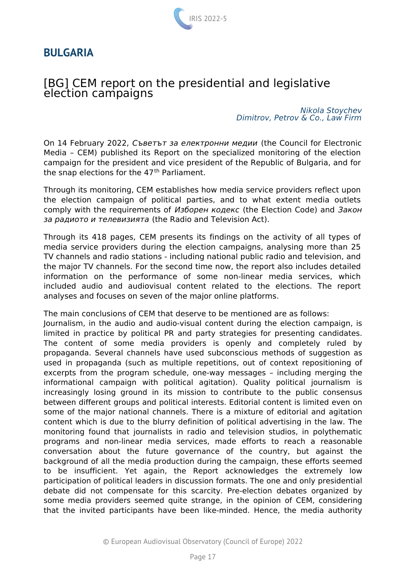

### <span id="page-16-0"></span>**BULGARIA**

### [BG] CEM report on the presidential and legislative election campaigns

*Nikola Stoychev Dimitrov, Petrov & Co., Law Firm*

On 14 February 2022, *Съветът за електронни медии* (the Council for Electronic Media – CEM) published its Report on the specialized monitoring of the election campaign for the president and vice president of the Republic of Bulgaria, and for the snap elections for the 47<sup>th</sup> Parliament.

Through its monitoring, CEM establishes how media service providers reflect upon the election campaign of political parties, and to what extent media outlets comply with the requirements of *Изборен кодекс* (the Election Code) and *Закон за радиото и телевизията* (the Radio and Television Act).

Through its 418 pages, CEM presents its findings on the activity of all types of media service providers during the election campaigns, analysing more than 25 TV channels and radio stations - including national public radio and television, and the major TV channels. For the second time now, the report also includes detailed information on the performance of some non-linear media services, which included audio and audiovisual content related to the elections. The report analyses and focuses on seven of the major online platforms.

The main conclusions of CEM that deserve to be mentioned are as follows:

Journalism, in the audio and audio-visual content during the election campaign, is limited in practice by political PR and party strategies for presenting candidates. The content of some media providers is openly and completely ruled by propaganda. Several channels have used subconscious methods of suggestion as used in propaganda (such as multiple repetitions, out of context repositioning of excerpts from the program schedule, one-way messages – including merging the informational campaign with political agitation). Quality political journalism is increasingly losing ground in its mission to contribute to the public consensus between different groups and political interests. Editorial content is limited even on some of the major national channels. There is a mixture of editorial and agitation content which is due to the blurry definition of political advertising in the law. The monitoring found that journalists in radio and television studios, in polythematic programs and non-linear media services, made efforts to reach a reasonable conversation about the future governance of the country, but against the background of all the media production during the campaign, these efforts seemed to be insufficient. Yet again, the Report acknowledges the extremely low participation of political leaders in discussion formats. The one and only presidential debate did not compensate for this scarcity. Pre-election debates organized by some media providers seemed quite strange, in the opinion of CEM, considering that the invited participants have been like-minded. Hence, the media authority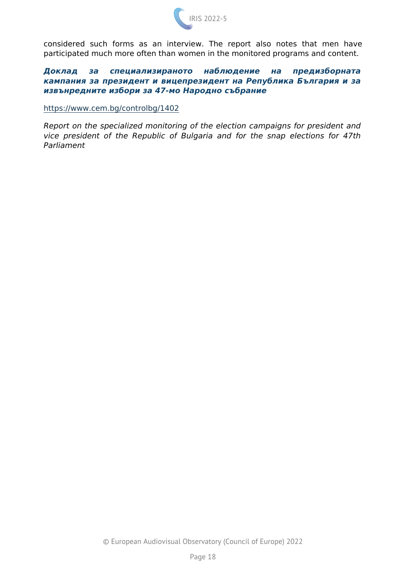considered such forms as an interview. The report also not participated much more often than women in the monitored program

 $>$ :;04 70 A?5F80;878@0=>B> =01;N45=85 =0 ?@54  $:0 < ?0 = 80$  70  $? @ 57845 = B$  8 28F5? @ 57845 = B = 0 5 ? C 1 ; 8 : 0 J ; 30 @ 872J=@54=8B5 871>@8 70 47-<> 0@>4=> AJ1@0=85

#### [https://www.cem.bg/contr](https://www.cem.bg/controlbg/1402)olbg/1402

Report on the specialized monitoring of the election campaigns f vice president of the Republic of Bulgaria and for the snap Parliament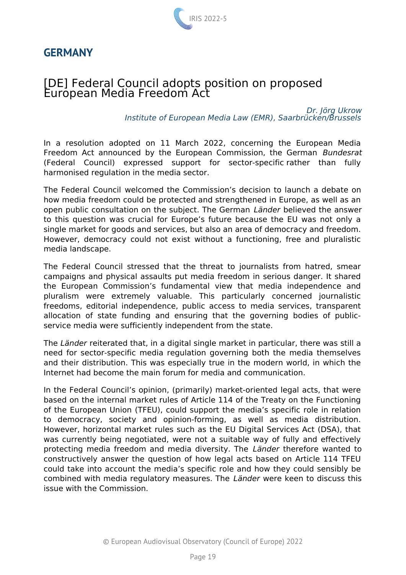

### <span id="page-18-0"></span>**GERMANY**

### [DE] Federal Council adopts position on proposed European Media Freedom Act

*Dr. Jörg Ukrow Institute of European Media Law (EMR), Saarbrücken/Brussels*

In a resolution adopted on 11 March 2022, concerning the European Media Freedom Act announced by the European Commission, the German *Bundesrat* (Federal Council) expressed support for sector-specific rather than fully harmonised regulation in the media sector.

The Federal Council welcomed the Commission's decision to launch a debate on how media freedom could be protected and strengthened in Europe, as well as an open public consultation on the subject. The German *Länder* believed the answer to this question was crucial for Europe's future because the EU was not only a single market for goods and services, but also an area of democracy and freedom. However, democracy could not exist without a functioning, free and pluralistic media landscape.

The Federal Council stressed that the threat to journalists from hatred, smear campaigns and physical assaults put media freedom in serious danger. It shared the European Commission's fundamental view that media independence and pluralism were extremely valuable. This particularly concerned journalistic freedoms, editorial independence, public access to media services, transparent allocation of state funding and ensuring that the governing bodies of publicservice media were sufficiently independent from the state.

The *Länder* reiterated that, in a digital single market in particular, there was still a need for sector-specific media regulation governing both the media themselves and their distribution. This was especially true in the modern world, in which the Internet had become the main forum for media and communication.

In the Federal Council's opinion, (primarily) market-oriented legal acts, that were based on the internal market rules of Article 114 of the Treaty on the Functioning of the European Union (TFEU), could support the media's specific role in relation to democracy, society and opinion-forming, as well as media distribution. However, horizontal market rules such as the EU Digital Services Act (DSA), that was currently being negotiated, were not a suitable way of fully and effectively protecting media freedom and media diversity. The *Länder* therefore wanted to constructively answer the question of how legal acts based on Article 114 TFEU could take into account the media's specific role and how they could sensibly be combined with media regulatory measures. The *Länder* were keen to discuss this issue with the Commission.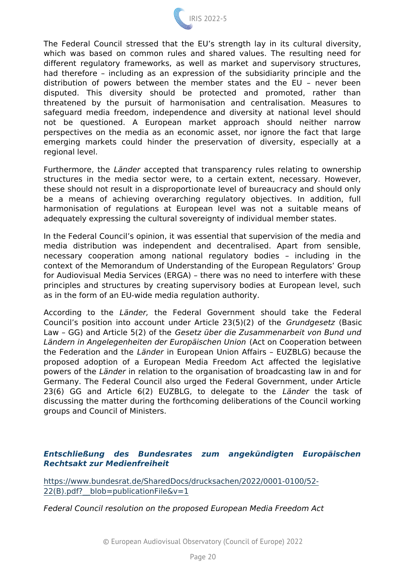The Federal Cosumecsisted that the EU s strength lay in its culture which was based on common rules and shared values. The r different regulatory frameworks, as well as market and super had therefore including as an expression of the subsidiarity distribution of powers between the member states and the disputed. This diversity should be protected and prom threatened by the pursuit of harmonisation and centralisat safeguard media freedom, independence and diversity at natio not be questioned. A European market approach shoul perspectives on the media as an economic asset, nor ignore th emerging markets could hinder the preservation of diversity regional level.

Furthermore, Lähneder accepted that transparency rules relating to structures in the media sector were, to a certain extent, ne these should not result in a disproportionate level of bureaucracy be a means of achieving overarching regulatory objectives harmonisation of regulations at European level was not a adequately expressing the cultural sovereignty of individual memb

In the Federal Council s opinion, it was essential that supervision media distribution was independent and decentralised. Apa necessary cooperation among national regulatory bodies context of the Memorandum of Understanding of the European Regulators of for Audiovisual Media Services (ERGA) there was no need to int principles and structures by creating supervisory bodies at Eur as in the form of an EU-wide media regulation authority.

According to Lätmbeerthe Federal Government should take the Council s position into account under Arti $G$  reun  $2d$  $3$  $d$   $63$   $62$  $R$  as icthe Law GG) and Article 5G2e) swetz the ber die Zusammenarbeit von Bun Ländern in Angelegenheiten der Europä Asthem Cungperation between the Federation a the ntche in European Union Affairs EUZBLG) because the the state of the state the cause of proposed adoption of a European Media Freedom Act affecte powers of Ländern relation to the organisation of broadcasting law Germany. The Federal Council also urged the Federal Governme  $23(6)$  GG and Article  $6(2)$  EUZBLG, to and the task the task  $\frac{1}{2}$ discussing the matter during the forthcoming deliberations of the groups and Council of Ministers.

Entschließung des Bundesrates zum angekündigten Eu Rechtsakt zur Medienfreiheit

[https://www.bundesrat.de/SharedDocs/drucksachen/](https://www.bundesrat.de/SharedDocs/drucksachen/2022/0001-0100/52-22(B).pdf?__blob=publicationFile&v=1)2022/0001-0100/  $22(B)$ .pdf? blob=publicationFile&v=1

Federal Council resolution on the proposed European Media Freed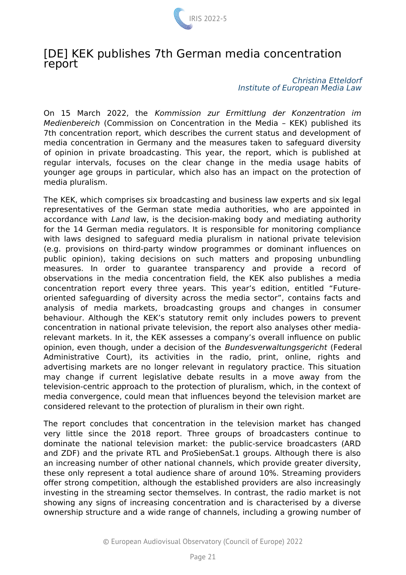

### <span id="page-20-0"></span>[DE] KEK publishes 7th German media concentration report

#### *Christina Etteldorf Institute of European Media Law*

On 15 March 2022, the *Kommission zur Ermittlung der Konzentration im Medienbereich* (Commission on Concentration in the Media – KEK) published its 7th concentration report, which describes the current status and development of media concentration in Germany and the measures taken to safeguard diversity of opinion in private broadcasting. This year, the report, which is published at regular intervals, focuses on the clear change in the media usage habits of younger age groups in particular, which also has an impact on the protection of media pluralism.

The KEK, which comprises six broadcasting and business law experts and six legal representatives of the German state media authorities, who are appointed in accordance with *Land* law, is the decision-making body and mediating authority for the 14 German media regulators. It is responsible for monitoring compliance with laws designed to safeguard media pluralism in national private television (e.g. provisions on third-party window programmes or dominant influences on public opinion), taking decisions on such matters and proposing unbundling measures. In order to guarantee transparency and provide a record of observations in the media concentration field, the KEK also publishes a media concentration report every three years. This year's edition, entitled "Futureoriented safeguarding of diversity across the media sector", contains facts and analysis of media markets, broadcasting groups and changes in consumer behaviour. Although the KEK's statutory remit only includes powers to prevent concentration in national private television, the report also analyses other mediarelevant markets. In it, the KEK assesses a company's overall influence on public opinion, even though, under a decision of the *Bundesverwaltungsgericht* (Federal Administrative Court), its activities in the radio, print, online, rights and advertising markets are no longer relevant in regulatory practice. This situation may change if current legislative debate results in a move away from the television-centric approach to the protection of pluralism, which, in the context of media convergence, could mean that influences beyond the television market are considered relevant to the protection of pluralism in their own right.

The report concludes that concentration in the television market has changed very little since the 2018 report. Three groups of broadcasters continue to dominate the national television market: the public-service broadcasters (ARD and ZDF) and the private RTL and ProSiebenSat.1 groups. Although there is also an increasing number of other national channels, which provide greater diversity, these only represent a total audience share of around 10%. Streaming providers offer strong competition, although the established providers are also increasingly investing in the streaming sector themselves. In contrast, the radio market is not showing any signs of increasing concentration and is characterised by a diverse ownership structure and a wide range of channels, including a growing number of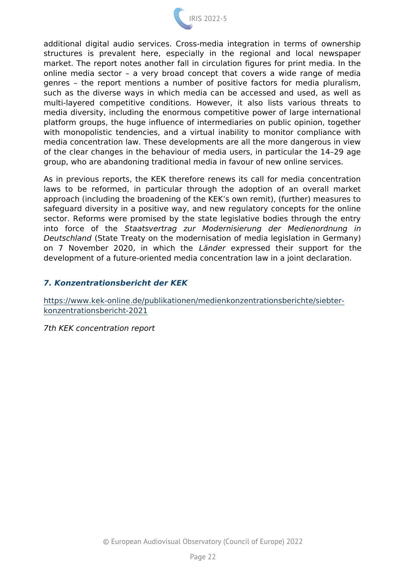additional digital audio services. Cross-media integration in te structures is prevalent here, especially in the regional an market. The report notes another fall in circulation figures for p online media sector a very broad concept that covers a wid genres the report mentions a number of positive factors for such as the diverse ways in which media can be accessed and multi-layered competitive conditions. However, it also lists media diversity, including the enormous competitive power of large platform groups, the huge influence of intermediaries on public with monopolistic tendencies, and a virtual inability to monitor media concentration law. These developments are all the more da of the clear changes in the behaviour of media users, in particul group, who are abandoning traditional media in favour of new onli

As in previous reports, the KEK therefore renews its call for  $m_{\text{e}}$ laws to be reformed, in particular through the adoption of approach (including the broadening of the KEK s own remit), (furth safeguard diversity in a positive way, and new regulatory concepts sector. Reforms were promised by the state legislative bodies t into force of Stataht svertrag zur Modernisierung der Medien Deutschla(rSottate Treaty on the modernisation of media legislation on 7 November 2020, in Länndder extensessed their support for development of a future-oriented media concentration law in a joir

#### 7. Konzentrationsbericht der KEK

[https://www.kek-online.de/publikationen/medienkonzentr](https://www.kek-online.de/publikationen/medienkonzentrationsberichte/siebter-konzentrationsbericht-2021)ationsberichte [konzentrationsberic](https://www.kek-online.de/publikationen/medienkonzentrationsberichte/siebter-konzentrationsbericht-2021)ht-2021

7th KEK concentration report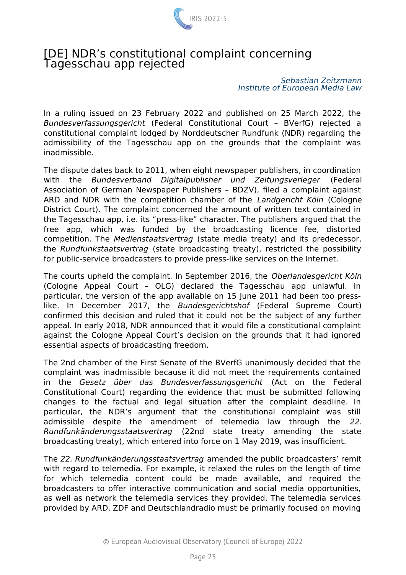

### <span id="page-22-0"></span>[DE] NDR's constitutional complaint concerning Tagesschau app rejected

*Sebastian Zeitzmann Institute of European Media Law*

In a ruling issued on 23 February 2022 and published on 25 March 2022, the *Bundesverfassungsgericht* (Federal Constitutional Court – BVerfG) rejected a constitutional complaint lodged by Norddeutscher Rundfunk (NDR) regarding the admissibility of the Tagesschau app on the grounds that the complaint was inadmissible.

The dispute dates back to 2011, when eight newspaper publishers, in coordination with the *Bundesverband Digitalpublisher und Zeitungsverleger* (Federal Association of German Newspaper Publishers – BDZV), filed a complaint against ARD and NDR with the competition chamber of the *Landgericht Köln* (Cologne District Court). The complaint concerned the amount of written text contained in the Tagesschau app, i.e. its "press-like" character. The publishers argued that the free app, which was funded by the broadcasting licence fee, distorted competition. The *Medienstaatsvertrag* (state media treaty) and its predecessor, the *Rundfunkstaatsvertrag* (state broadcasting treaty), restricted the possibility for public-service broadcasters to provide press-like services on the Internet.

The courts upheld the complaint. In September 2016, the *Oberlandesgericht Köln* (Cologne Appeal Court – OLG) declared the Tagesschau app unlawful. In particular, the version of the app available on 15 June 2011 had been too presslike. In December 2017, the *Bundesgerichtshof* (Federal Supreme Court) confirmed this decision and ruled that it could not be the subject of any further appeal. In early 2018, NDR announced that it would file a constitutional complaint against the Cologne Appeal Court's decision on the grounds that it had ignored essential aspects of broadcasting freedom.

The 2nd chamber of the First Senate of the BVerfG unanimously decided that the complaint was inadmissible because it did not meet the requirements contained in the *Gesetz über das Bundesverfassungsgericht* (Act on the Federal Constitutional Court) regarding the evidence that must be submitted following changes to the factual and legal situation after the complaint deadline. In particular, the NDR's argument that the constitutional complaint was still admissible despite the amendment of telemedia law through the *22. Rundfunkänderungsstaatsvertrag* (22nd state treaty amending the state broadcasting treaty), which entered into force on 1 May 2019, was insufficient.

The *22. Rundfunkänderungsstaatsvertrag* amended the public broadcasters' remit with regard to telemedia. For example, it relaxed the rules on the length of time for which telemedia content could be made available, and required the broadcasters to offer interactive communication and social media opportunities, as well as network the telemedia services they provided. The telemedia services provided by ARD, ZDF and Deutschlandradio must be primarily focused on moving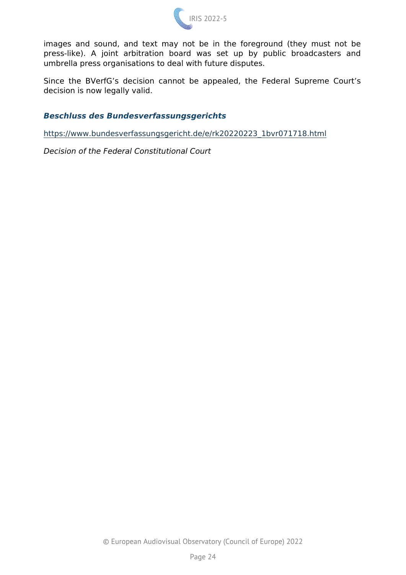images and sound, and text may not be in the foreground (t press-like). A joint arbitration board was set up by publi umbrella press organisations to deal with future disputes.

Since the BVerfG s decision cannot be appealed, the Federa decision is now legally valid.

Beschluss des Bundesverfassungsgerichts

[https://www.bundesverfassungsgericht.de/e/rk202202](https://www.bundesverfassungsgericht.de/e/rk20220223_1bvr071718.html)23\_1bvr071718

Decision of the Federal Constitutional Court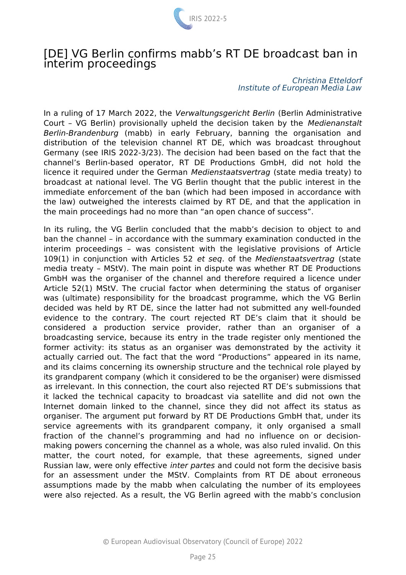

### <span id="page-24-0"></span>[DE] VG Berlin confirms mabb's RT DE broadcast ban in interim proceedings

*Christina Etteldorf Institute of European Media Law*

In a ruling of 17 March 2022, the *Verwaltungsgericht Berlin* (Berlin Administrative Court – VG Berlin) provisionally upheld the decision taken by the *Medienanstalt Berlin-Brandenburg* (mabb) in early February, banning the organisation and distribution of the television channel RT DE, which was broadcast throughout Germany (see IRIS 2022-3/23). The decision had been based on the fact that the channel's Berlin-based operator, RT DE Productions GmbH, did not hold the licence it required under the German *Medienstaatsvertrag* (state media treaty) to broadcast at national level. The VG Berlin thought that the public interest in the immediate enforcement of the ban (which had been imposed in accordance with the law) outweighed the interests claimed by RT DE, and that the application in the main proceedings had no more than "an open chance of success".

In its ruling, the VG Berlin concluded that the mabb's decision to object to and ban the channel – in accordance with the summary examination conducted in the interim proceedings – was consistent with the legislative provisions of Article 109(1) in conjunction with Articles 52 *et seq*. of the *Medienstaatsvertrag* (state media treaty – MStV). The main point in dispute was whether RT DE Productions GmbH was the organiser of the channel and therefore required a licence under Article 52(1) MStV. The crucial factor when determining the status of organiser was (ultimate) responsibility for the broadcast programme, which the VG Berlin decided was held by RT DE, since the latter had not submitted any well-founded evidence to the contrary. The court rejected RT DE's claim that it should be considered a production service provider, rather than an organiser of a broadcasting service, because its entry in the trade register only mentioned the former activity: its status as an organiser was demonstrated by the activity it actually carried out. The fact that the word "Productions" appeared in its name, and its claims concerning its ownership structure and the technical role played by its grandparent company (which it considered to be the organiser) were dismissed as irrelevant. In this connection, the court also rejected RT DE's submissions that it lacked the technical capacity to broadcast via satellite and did not own the Internet domain linked to the channel, since they did not affect its status as organiser. The argument put forward by RT DE Productions GmbH that, under its service agreements with its grandparent company, it only organised a small fraction of the channel's programming and had no influence on or decisionmaking powers concerning the channel as a whole, was also ruled invalid. On this matter, the court noted, for example, that these agreements, signed under Russian law, were only effective *inter partes* and could not form the decisive basis for an assessment under the MStV. Complaints from RT DE about erroneous assumptions made by the mabb when calculating the number of its employees were also rejected. As a result, the VG Berlin agreed with the mabb's conclusion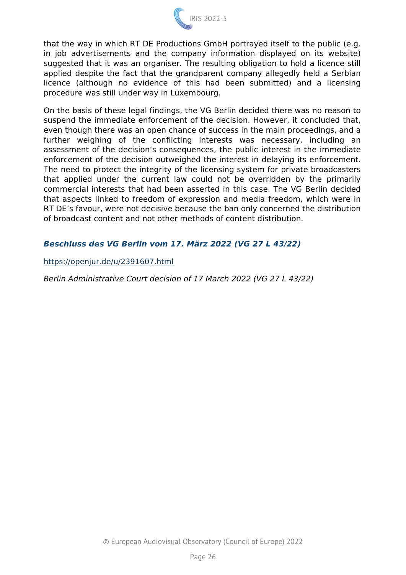that the way in which RT DE Productions GmbH portrayed itself to in job advertisements and the company information displayed suggested that it was an organiser. The resulting obligation to  $\digamma$ applied despite the fact that the grandparent company allegedly licence (although no evidence of this had been submitted procedure was still under way in Luxembourg.

On the basis of these legal findings, the VG Berlin decided there suspend the immediate enforcement of the decision. However, it even though there was an open chance of success in the main pro further weighing of the conflicting interests was neces assessment of the decision s consequences, the public interest enforcement of the decision outweighed the interest in delaying The need to protect the integrity of the licensing system for privation that applied under the current law could not be overridden commercial interests that had been asserted in this case. The \ that aspects linked to freedom of expression and media freedom RT DE s favour, were not decisive because the ban only concerned of broadcast content and not other methods of content distribution.

Beschluss des VG Berlin vom 17. März 2022 (VG 27 L 43/22)

[https://openjur.de/u/239](https://openjur.de/u/2391607.html)1607.html

Berlin Administrative Court decision of 17 March 2022 (VG 27 L 43)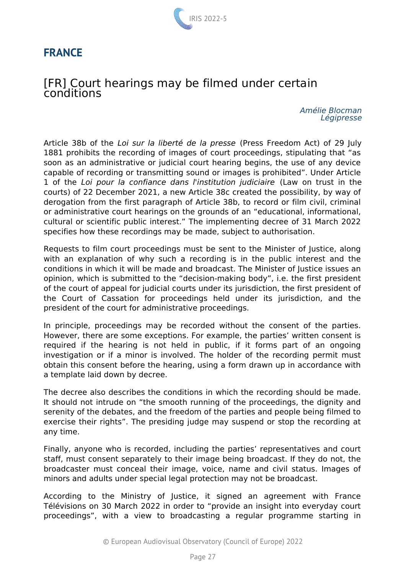

## <span id="page-26-0"></span>**FRANCE**

### [FR] Court hearings may be filmed under certain conditions

*Amélie Blocman Légipresse*

Article 38b of the *Loi sur la liberté de la presse* (Press Freedom Act) of 29 July 1881 prohibits the recording of images of court proceedings, stipulating that "as soon as an administrative or judicial court hearing begins, the use of any device capable of recording or transmitting sound or images is prohibited". Under Article 1 of the *Loi pour la confiance dans l'institution judiciaire* (Law on trust in the courts) of 22 December 2021, a new Article 38c created the possibility, by way of derogation from the first paragraph of Article 38b, to record or film civil, criminal or administrative court hearings on the grounds of an "educational, informational, cultural or scientific public interest." The implementing decree of 31 March 2022 specifies how these recordings may be made, subject to authorisation.

Requests to film court proceedings must be sent to the Minister of Justice, along with an explanation of why such a recording is in the public interest and the conditions in which it will be made and broadcast. The Minister of Justice issues an opinion, which is submitted to the "decision-making body", i.e. the first president of the court of appeal for judicial courts under its jurisdiction, the first president of the Court of Cassation for proceedings held under its jurisdiction, and the president of the court for administrative proceedings.

In principle, proceedings may be recorded without the consent of the parties. However, there are some exceptions. For example, the parties' written consent is required if the hearing is not held in public, if it forms part of an ongoing investigation or if a minor is involved. The holder of the recording permit must obtain this consent before the hearing, using a form drawn up in accordance with a template laid down by decree.

The decree also describes the conditions in which the recording should be made. It should not intrude on "the smooth running of the proceedings, the dignity and serenity of the debates, and the freedom of the parties and people being filmed to exercise their rights". The presiding judge may suspend or stop the recording at any time.

Finally, anyone who is recorded, including the parties' representatives and court staff, must consent separately to their image being broadcast. If they do not, the broadcaster must conceal their image, voice, name and civil status. Images of minors and adults under special legal protection may not be broadcast.

According to the Ministry of Justice, it signed an agreement with France Télévisions on 30 March 2022 in order to "provide an insight into everyday court proceedings", with a view to broadcasting a regular programme starting in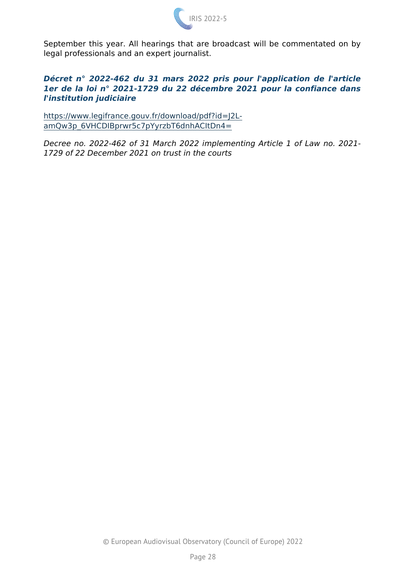September this year. All hearings that are broadcast will be com legal professionals and an expert journalist.

Décret n° 2022-462 du 31 mars 2022 pris pour l'application de 1er de la loi n° 2021-1729 du 22 décembre 2021 pour la confiai l'institution judiciaire

[https://www.legifrance.gouv.fr/downlo](https://www.legifrance.gouv.fr/download/pdf?id=J2L-amQw3p_6VHCDIBprwr5c7pYyrzbT6dnhACItDn4=)ad/pdf?id=J2L [amQw3p\\_6VHCDIBprwr5c7pYyrzbT6d](https://www.legifrance.gouv.fr/download/pdf?id=J2L-amQw3p_6VHCDIBprwr5c7pYyrzbT6dnhACItDn4=)nhACItDn4=

Decree no. 2022-462 of 31 March 2022 implementing Article 1 o 1729 of 22 December 2021 on trust in the courts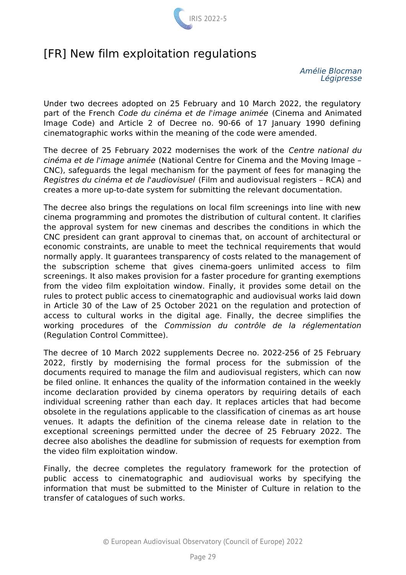

# <span id="page-28-0"></span>[FR] New film exploitation regulations

*Amélie Blocman Légipresse*

Under two decrees adopted on 25 February and 10 March 2022, the regulatory part of the French *Code du cinéma et de l'image animée* (Cinema and Animated Image Code) and Article 2 of Decree no. 90-66 of 17 January 1990 defining cinematographic works within the meaning of the code were amended.

The decree of 25 February 2022 modernises the work of the *Centre national du cinéma et de l'image animée* (National Centre for Cinema and the Moving Image – CNC), safeguards the legal mechanism for the payment of fees for managing the *Registres du cinéma et de l'audiovisuel* (Film and audiovisual registers – RCA) and creates a more up-to-date system for submitting the relevant documentation.

The decree also brings the regulations on local film screenings into line with new cinema programming and promotes the distribution of cultural content. It clarifies the approval system for new cinemas and describes the conditions in which the CNC president can grant approval to cinemas that, on account of architectural or economic constraints, are unable to meet the technical requirements that would normally apply. It guarantees transparency of costs related to the management of the subscription scheme that gives cinema-goers unlimited access to film screenings. It also makes provision for a faster procedure for granting exemptions from the video film exploitation window. Finally, it provides some detail on the rules to protect public access to cinematographic and audiovisual works laid down in Article 30 of the Law of 25 October 2021 on the regulation and protection of access to cultural works in the digital age. Finally, the decree simplifies the working procedures of the *Commission du contrôle de la réglementation* (Regulation Control Committee).

The decree of 10 March 2022 supplements Decree no. 2022-256 of 25 February 2022, firstly by modernising the formal process for the submission of the documents required to manage the film and audiovisual registers, which can now be filed online. It enhances the quality of the information contained in the weekly income declaration provided by cinema operators by requiring details of each individual screening rather than each day. It replaces articles that had become obsolete in the regulations applicable to the classification of cinemas as art house venues. It adapts the definition of the cinema release date in relation to the exceptional screenings permitted under the decree of 25 February 2022. The decree also abolishes the deadline for submission of requests for exemption from the video film exploitation window.

Finally, the decree completes the regulatory framework for the protection of public access to cinematographic and audiovisual works by specifying the information that must be submitted to the Minister of Culture in relation to the transfer of catalogues of such works.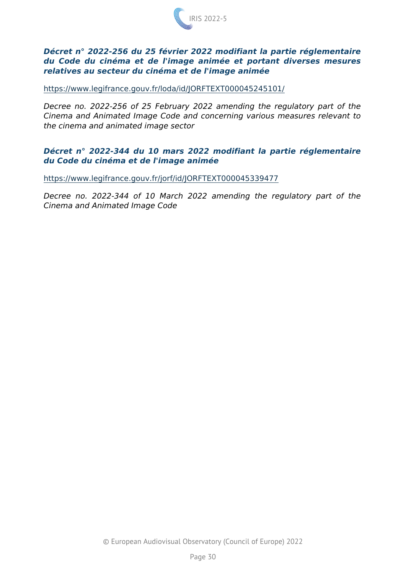Décret n° 2022-256 du 25 février 2022 modifiant la partie réglem du Code du cinéma et de l'image animée et portant diverses relatives au secteur du cinéma et de l'image animée

[https://www.legifrance.gouv.fr/loda/id/JORFT](https://www.legifrance.gouv.fr/loda/id/JORFTEXT000045245101/)EXT000045245101/

Decree no. 2022-256 of 25 February 2022 amending the regula Cinema and Animated Image Code and concerning various measures the cinema and animated image sector

Décret n° 2022-344 du 10 mars 2022 modifiant la partie réglement du Code du cinéma et de l'image animée

[https://www.legifrance.gouv.fr/jorf/id/JORFT](https://www.legifrance.gouv.fr/jorf/id/JORFTEXT000045339477)EXT000045339477

Decree no. 2022-344 of 10 March 2022 amending the regula Cinema and Animated Image Code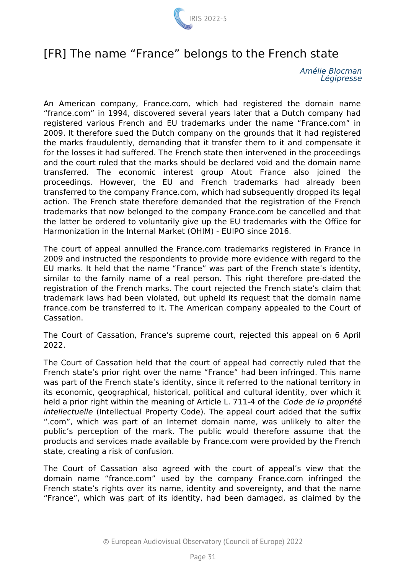

# <span id="page-30-0"></span>[FR] The name "France" belongs to the French state

*Amélie Blocman Légipresse*

An American company, France.com, which had registered the domain name "france.com" in 1994, discovered several years later that a Dutch company had registered various French and EU trademarks under the name "France.com" in 2009. It therefore sued the Dutch company on the grounds that it had registered the marks fraudulently, demanding that it transfer them to it and compensate it for the losses it had suffered. The French state then intervened in the proceedings and the court ruled that the marks should be declared void and the domain name transferred. The economic interest group Atout France also joined the proceedings. However, the EU and French trademarks had already been transferred to the company France.com, which had subsequently dropped its legal action. The French state therefore demanded that the registration of the French trademarks that now belonged to the company France.com be cancelled and that the latter be ordered to voluntarily give up the EU trademarks with the Office for Harmonization in the Internal Market (OHIM) - EUIPO since 2016.

The court of appeal annulled the France.com trademarks registered in France in 2009 and instructed the respondents to provide more evidence with regard to the EU marks. It held that the name "France" was part of the French state's identity, similar to the family name of a real person. This right therefore pre-dated the registration of the French marks. The court rejected the French state's claim that trademark laws had been violated, but upheld its request that the domain name france.com be transferred to it. The American company appealed to the Court of Cassation.

The Court of Cassation, France's supreme court, rejected this appeal on 6 April 2022.

The Court of Cassation held that the court of appeal had correctly ruled that the French state's prior right over the name "France" had been infringed. This name was part of the French state's identity, since it referred to the national territory in its economic, geographical, historical, political and cultural identity, over which it held a prior right within the meaning of Article L. 711-4 of the *Code de la propriété intellectuelle* (Intellectual Property Code). The appeal court added that the suffix ".com", which was part of an Internet domain name, was unlikely to alter the public's perception of the mark. The public would therefore assume that the products and services made available by France.com were provided by the French state, creating a risk of confusion.

The Court of Cassation also agreed with the court of appeal's view that the domain name "france.com" used by the company France.com infringed the French state's rights over its name, identity and sovereignty, and that the name "France", which was part of its identity, had been damaged, as claimed by the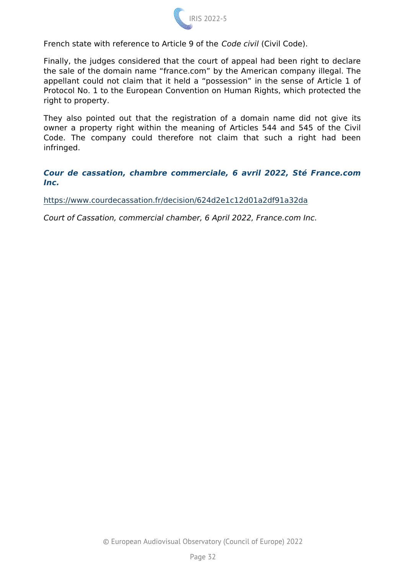French state with reference to  $A \cap C$  to  $A \cap C$  if  $\emptyset$  the Code).

Finally, the judges considered that the court of appeal had bee the sale of the domain name france.com by the American comp appellant could not claim that it held a possession in the sen Protocol No. 1 to the European Convention on Human Rights, whi right to property.

They also pointed out that the registration of a domain name owner a property right within the meaning of Articles 544 and Code. The company could therefore not claim that such infringed.

Cour de cassation, chambre commerciale, 6 avril 2022, Sté France. Inc.

[https://www.courdecassation.fr/decision/624d2e1c](https://www.courdecassation.fr/decision/624d2e1c12d01a2df91a32da)12d01a2df91a32da

Court of Cassation, commercial chamber, 6 April 2022, France.com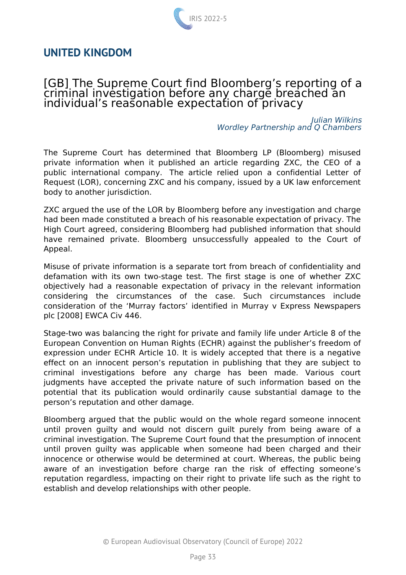

### <span id="page-32-0"></span>**UNITED KINGDOM**

### [GB] The Supreme Court find Bloomberg's reporting of a criminal investigation before any charge breached an individual's reasonable expectation of privacy

#### *Julian Wilkins Wordley Partnership and Q Chambers*

The Supreme Court has determined that Bloomberg LP (Bloomberg) misused private information when it published an article regarding ZXC, the CEO of a public international company. The article relied upon a confidential Letter of Request (LOR), concerning ZXC and his company, issued by a UK law enforcement body to another jurisdiction.

ZXC argued the use of the LOR by Bloomberg before any investigation and charge had been made constituted a breach of his reasonable expectation of privacy. The High Court agreed, considering Bloomberg had published information that should have remained private. Bloomberg unsuccessfully appealed to the Court of Appeal.

Misuse of private information is a separate tort from breach of confidentiality and defamation with its own two-stage test. The first stage is one of whether ZXC objectively had a reasonable expectation of privacy in the relevant information considering the circumstances of the case. Such circumstances include consideration of the 'Murray factors' identified in Murray v Express Newspapers plc [2008] EWCA Civ 446.

Stage-two was balancing the right for private and family life under Article 8 of the European Convention on Human Rights (ECHR) against the publisher's freedom of expression under ECHR Article 10. It is widely accepted that there is a negative effect on an innocent person's reputation in publishing that they are subject to criminal investigations before any charge has been made. Various court judgments have accepted the private nature of such information based on the potential that its publication would ordinarily cause substantial damage to the person's reputation and other damage.

Bloomberg argued that the public would on the whole regard someone innocent until proven guilty and would not discern guilt purely from being aware of a criminal investigation. The Supreme Court found that the presumption of innocent until proven guilty was applicable when someone had been charged and their innocence or otherwise would be determined at court. Whereas, the public being aware of an investigation before charge ran the risk of effecting someone's reputation regardless, impacting on their right to private life such as the right to establish and develop relationships with other people.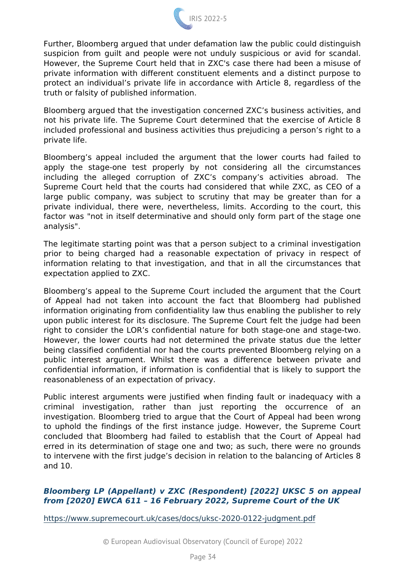Further, Bloomberg argued that under defamation law the public c suspicion from guilt and people were not unduly suspicious or However, the Supreme Court held that in ZXC's case there had I private information with different constituent elements and a distinct protect an individual s private life in accordance with Article 8 truth or falsity of published information.

Bloomberg argued that the investigation concerned ZXC s busines not his private life. The Supreme Court determined that the exe included professional and business activities thus prejudicing a p private life.

Bloomberg s appeal included the argument that the lower cou apply the stage-one test properly by not considering all including the alleged corruption of ZXC s company s acti Supreme Court held that the courts had considered that while 2 large public company, was subject to scrutiny that may be g private individual, there were, nevertheless, limits. According factor was "not in itself determinative and should only form part analysis".

The legitimate starting point was that a person subject to a crim prior to being charged had a reasonable expectation of priv information relating to that investigation, and that in all the c expectation applied to ZXC.

Bloomberg s appeal to the Supreme Court included the argument of Appeal had not taken into account the fact that Bloombe information originating from confidentiality law thus enabling the upon public interest for its disclosure. The Supreme Court felt th right to consider the LOR s confidential nature for both stage-o However, the lower courts had not determined the private status being classified confidential nor had the courts prevented Blooml public interest argument. Whilst there was a difference bet confidential information, if information is confidential that is lik reasonableness of an expectation of privacy.

Public interest arguments were justified when finding fault or i criminal investigation, rather than just reporting the investigation. Bloomberg tried to argue that the Court of Appeal to uphold the findings of the first instance judge. However, t concluded that Bloomberg had failed to establish that the Cou erred in its determination of stage one and two; as such, there to intervene with the first judge s decision in relation to the bala and 10.

Bloomberg LP (Appellant) v ZXC (Respondent) [2022] UKSC 5 on from [2020] EWCA 611 16 February 2022, Supreme Court of the U

[https://www.supremecourt.uk/cases/docs/uksc-2020](https://www.supremecourt.uk/cases/docs/uksc-2020-0122-judgment.pdf)-0122-judgment.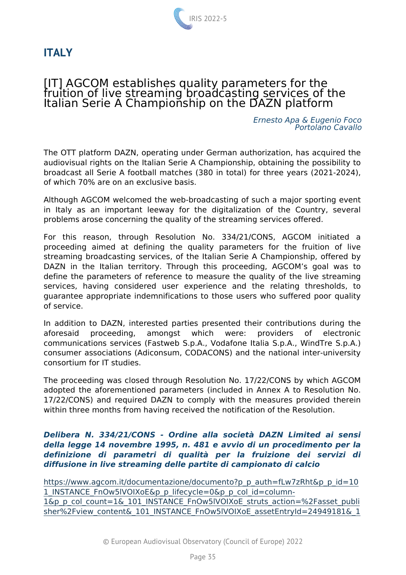### <span id="page-34-0"></span>ITALY

#### [IT] AGCOM establishes quality parameters for fruition of live streaming broadcasting servic Italian Serie A Championship on the DAZN pl

#### Ernesto Apa & Eugenio Foco Portolano Cavallo

The OTT platform DAZN, operating under German authorization, h audiovisual rights on the Italian Serie A Championship, obtaining broadcast all Serie A football matches (380 in total) for three y of which 70% are on an exclusive basis.

Although AGCOM welcomed the web-broadcasting of such a major in Italy as an important leeway for the digitalization of the problems arose concerning the quality of the streaming services o

For this reason, through Resolution No. 334/21/CONS. proceeding aimed at defining the quality parameters for the streaming broadcasting services, of the Italian Serie A Champio DAZN in the Italian territory. Through this proceeding, AGC define the parameters of reference to measure the quality of the services, having considered user experience and the relat guarantee appropriate indemnifications to those users who suffered poor quality of service.

In addition to DAZN, interested parties presented their contrib aforesaid proceeding, amongst which were: provid communications services (Fastweb S.p.A., Vodafone Italia S.p.A. consumer associations (Adiconsum, CODACONS) and the national consortium for IT studies.

The proceeding was closed through Resolution No. 17/22/CONS b adopted the aforementioned parameters (included in Annex A to 17/22/CONS) and required DAZN to comply with the measures within three months from having received the notification of the R

Delibera N. 334/21/CONS - Ordine alla società DAZN Limite della legge 14 novembre 1995, n. 481 e avvio di un procediment definizione di parametri di qualità per la fruizione de diffusione in live streaming delle partite di campionato di calcioþÿ

[https://www.agcom.it/documentazione/documento?p\\_p\\_auth](https://www.agcom.it/documentazione/documento?p_p_auth=fLw7zRht&p_p_id=101_INSTANCE_FnOw5lVOIXoE&p_p_lifecycle=0&p_p_col_id=column-1&p_p_col_count=1&_101_INSTANCE_FnOw5lVOIXoE_struts_action=/asset_publisher/view_content&_101_INSTANCE_FnOw5lVOIXoE_assetEntryId=24949181&_101_INSTANCE_FnOw5lVOIXoE_type=document)=fLw7zRh [1\\_INSTANCE\\_FnOw5lVOIXoE&p\\_p\\_lifecycle=0&p](https://www.agcom.it/documentazione/documento?p_p_auth=fLw7zRht&p_p_id=101_INSTANCE_FnOw5lVOIXoE&p_p_lifecycle=0&p_p_col_id=column-1&p_p_col_count=1&_101_INSTANCE_FnOw5lVOIXoE_struts_action=/asset_publisher/view_content&_101_INSTANCE_FnOw5lVOIXoE_assetEntryId=24949181&_101_INSTANCE_FnOw5lVOIXoE_type=document)\_p\_col\_id=column- [1&p\\_p\\_col\\_count=1&\\_101\\_INSTANCE\\_FnOw5lVOIXoE\\_struts](https://www.agcom.it/documentazione/documento?p_p_auth=fLw7zRht&p_p_id=101_INSTANCE_FnOw5lVOIXoE&p_p_lifecycle=0&p_p_col_id=column-1&p_p_col_count=1&_101_INSTANCE_FnOw5lVOIXoE_struts_action=/asset_publisher/view_content&_101_INSTANCE_FnOw5lVOIXoE_assetEntryId=24949181&_101_INSTANCE_FnOw5lVOIXoE_type=document)\_action=%2Fasset\_publi [sher%2Fview\\_content&\\_101\\_INSTANCE\\_FnOw5lVOIXoE\\_asse](https://www.agcom.it/documentazione/documento?p_p_auth=fLw7zRht&p_p_id=101_INSTANCE_FnOw5lVOIXoE&p_p_lifecycle=0&p_p_col_id=column-1&p_p_col_count=1&_101_INSTANCE_FnOw5lVOIXoE_struts_action=/asset_publisher/view_content&_101_INSTANCE_FnOw5lVOIXoE_assetEntryId=24949181&_101_INSTANCE_FnOw5lVOIXoE_type=document)tEntryId=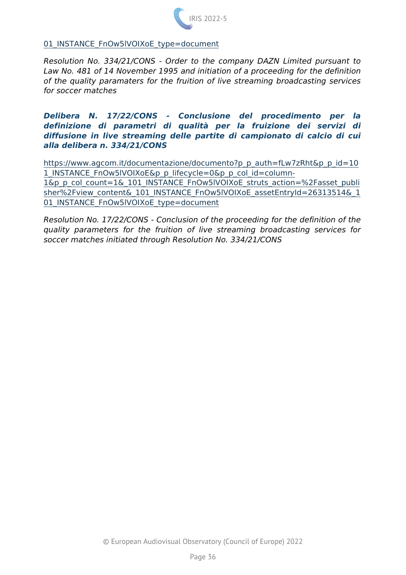#### [01\\_INSTANCE\\_FnOw5lVOIXoE\\_ty](https://www.agcom.it/documentazione/documento?p_p_auth=fLw7zRht&p_p_id=101_INSTANCE_FnOw5lVOIXoE&p_p_lifecycle=0&p_p_col_id=column-1&p_p_col_count=1&_101_INSTANCE_FnOw5lVOIXoE_struts_action=/asset_publisher/view_content&_101_INSTANCE_FnOw5lVOIXoE_assetEntryId=24949181&_101_INSTANCE_FnOw5lVOIXoE_type=document)pe=document

Resolution No. 334/21/CONS - Order to the company DAZN Lim Law No. 481 of 14 November 1995 and initiation of a proceeding for of the quality paramaters for the fruition of live streaming broa for soccer matches

Delibera N. 17/22/CONS - Conclusione del procedime definizione di parametri di qualità per la fruizione de diffusione in live streaming delle partite di campionato di cal alla delibera n. 334/21/CONS

[https://www.agcom.it/documentazione/documento?p\\_p\\_auth](https://www.agcom.it/documentazione/documento?p_p_auth=fLw7zRht&p_p_id=101_INSTANCE_FnOw5lVOIXoE&p_p_lifecycle=0&p_p_col_id=column-1&p_p_col_count=1&_101_INSTANCE_FnOw5lVOIXoE_struts_action=/asset_publisher/view_content&_101_INSTANCE_FnOw5lVOIXoE_assetEntryId=26313514&_101_INSTANCE_FnOw5lVOIXoE_type=document)=fLw7zRh [1\\_INSTANCE\\_FnOw5lVOIXoE&p\\_p\\_lifecycle=0&p](https://www.agcom.it/documentazione/documento?p_p_auth=fLw7zRht&p_p_id=101_INSTANCE_FnOw5lVOIXoE&p_p_lifecycle=0&p_p_col_id=column-1&p_p_col_count=1&_101_INSTANCE_FnOw5lVOIXoE_struts_action=/asset_publisher/view_content&_101_INSTANCE_FnOw5lVOIXoE_assetEntryId=26313514&_101_INSTANCE_FnOw5lVOIXoE_type=document)\_p\_col\_id=column- [1&p\\_p\\_col\\_count=1&\\_101\\_INSTANCE\\_FnOw5lVOIXoE\\_struts](https://www.agcom.it/documentazione/documento?p_p_auth=fLw7zRht&p_p_id=101_INSTANCE_FnOw5lVOIXoE&p_p_lifecycle=0&p_p_col_id=column-1&p_p_col_count=1&_101_INSTANCE_FnOw5lVOIXoE_struts_action=/asset_publisher/view_content&_101_INSTANCE_FnOw5lVOIXoE_assetEntryId=26313514&_101_INSTANCE_FnOw5lVOIXoE_type=document)\_action= [sher%2Fview\\_content&\\_101\\_INSTANCE\\_FnOw5lVOIXoE\\_asse](https://www.agcom.it/documentazione/documento?p_p_auth=fLw7zRht&p_p_id=101_INSTANCE_FnOw5lVOIXoE&p_p_lifecycle=0&p_p_col_id=column-1&p_p_col_count=1&_101_INSTANCE_FnOw5lVOIXoE_struts_action=/asset_publisher/view_content&_101_INSTANCE_FnOw5lVOIXoE_assetEntryId=26313514&_101_INSTANCE_FnOw5lVOIXoE_type=document)tEntryId= [01\\_INSTANCE\\_FnOw5lVOIXoE\\_ty](https://www.agcom.it/documentazione/documento?p_p_auth=fLw7zRht&p_p_id=101_INSTANCE_FnOw5lVOIXoE&p_p_lifecycle=0&p_p_col_id=column-1&p_p_col_count=1&_101_INSTANCE_FnOw5lVOIXoE_struts_action=/asset_publisher/view_content&_101_INSTANCE_FnOw5lVOIXoE_assetEntryId=26313514&_101_INSTANCE_FnOw5lVOIXoE_type=document)pe=document

Resolution No. 17/22/CONS - Conclusion of the proceeding for the quality parameters for the fruition of live streaming broadca soccer matches initiated through Resolution No. 334/21/CONS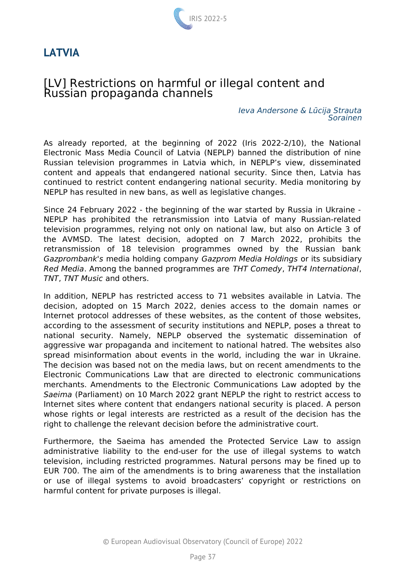

# <span id="page-36-0"></span>**LATVIA**

### [LV] Restrictions on harmful or illegal content and Russian propaganda channels

*Ieva Andersone & Lūcija Strauta Sorainen*

As already reported, at the beginning of 2022 (Iris 2022-2/10), the National Electronic Mass Media Council of Latvia (NEPLP) banned the distribution of nine Russian television programmes in Latvia which, in NEPLP's view, disseminated content and appeals that endangered national security. Since then, Latvia has continued to restrict content endangering national security. Media monitoring by NEPLP has resulted in new bans, as well as legislative changes.

Since 24 February 2022 - the beginning of the war started by Russia in Ukraine - NEPLP has prohibited the retransmission into Latvia of many Russian-related television programmes, relying not only on national law, but also on Article 3 of the AVMSD. The latest decision, adopted on 7 March 2022, prohibits the retransmission of 18 television programmes owned by the Russian bank *Gazprombank's* media holding company *Gazprom Media Holdings* or its subsidiary *Red Media*. Among the banned programmes are *THT Comedy*, *THT4 International*, *TNT*, *TNT Music* and others.

In addition, NEPLP has restricted access to 71 websites available in Latvia. The decision, adopted on 15 March 2022, denies access to the domain names or Internet protocol addresses of these websites, as the content of those websites, according to the assessment of security institutions and NEPLP, poses a threat to national security. Namely, NEPLP observed the systematic dissemination of aggressive war propaganda and incitement to national hatred. The websites also spread misinformation about events in the world, including the war in Ukraine. The decision was based not on the media laws, but on recent amendments to the Electronic Communications Law that are directed to electronic communications merchants. Amendments to the Electronic Communications Law adopted by the *Saeima* (Parliament) on 10 March 2022 grant NEPLP the right to restrict access to Internet sites where content that endangers national security is placed. A person whose rights or legal interests are restricted as a result of the decision has the right to challenge the relevant decision before the administrative court.

Furthermore, the Saeima has amended the Protected Service Law to assign administrative liability to the end-user for the use of illegal systems to watch television, including restricted programmes. Natural persons may be fined up to EUR 700. The aim of the amendments is to bring awareness that the installation or use of illegal systems to avoid broadcasters' copyright or restrictions on harmful content for private purposes is illegal.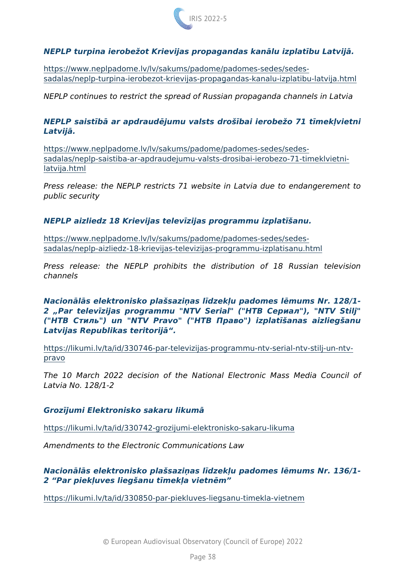NEPLP turpina ierobe~ot Krievijas propagandas kan lu izplat+bu L

[https://www.neplpadome.lv/lv/sakums/padome/pad](https://www.neplpadome.lv/lv/sakums/padome/padomes-sedes/sedes-sadalas/neplp-turpina-ierobezot-krievijas-propagandas-kanalu-izplatibu-latvija.html)omes-sedes/sedes [sadalas/neplp-turpina-ierobezot-krievijas-propagandas-kan](https://www.neplpadome.lv/lv/sakums/padome/padomes-sedes/sedes-sadalas/neplp-turpina-ierobezot-krievijas-propagandas-kanalu-izplatibu-latvija.html)alu-izpla

NEPLP continues to restrict the spread of Russian propaganda cha

 $NEPLP$  saist+b ar apdraud jumu valsts droa+bai ierobe~o 71 t+m Latvij.

[https://www.neplpadome.lv/lv/sakums/padome/pad](https://www.neplpadome.lv/lv/sakums/padome/padomes-sedes/sedes-sadalas/neplp-saistiba-ar-apdraudejumu-valsts-drosibai-ierobezo-71-timeklvietni-latvija.html)omes-sedes/sedes [sadalas/neplp-saistiba-ar-apdraudejumu-valsts-drosibai-i](https://www.neplpadome.lv/lv/sakums/padome/padomes-sedes/sedes-sadalas/neplp-saistiba-ar-apdraudejumu-valsts-drosibai-ierobezo-71-timeklvietni-latvija.html)erobezo-7<sup>-</sup> [latvija.h](https://www.neplpadome.lv/lv/sakums/padome/padomes-sedes/sedes-sadalas/neplp-saistiba-ar-apdraudejumu-valsts-drosibai-ierobezo-71-timeklvietni-latvija.html)tml

Press release: the NEPLP restricts 71 website in Latvia due to public security

NEPLP aizliedz 18 Krievijas telev+zijas programmu izplat+aanu.

[https://www.neplpadome.lv/lv/sakums/padome/pad](https://www.neplpadome.lv/lv/sakums/padome/padomes-sedes/sedes-sadalas/neplp-aizliedz-18-krievijas-televizijas-programmu-izplatisanu.html)omes-sedes/sedes [sadalas/neplp-aizliedz-18-krievijas-televizijas-progr](https://www.neplpadome.lv/lv/sakums/padome/padomes-sedes/sedes-sadalas/neplp-aizliedz-18-krievijas-televizijas-programmu-izplatisanu.html)ammu-izplatisa

Press release: the NEPLP prohibits the distribution of 18 channels

Nacion I s elektronisko plaasaziFas l+dzek<u padomes l mums Nr. 2 Par telev+zijas programmu "NTV Serial" (" " !5@80;"), "NT (" " !B8;L") un "NTV Pravo" (" " @02>") izplat+aanas aizli Latvijas Republikas teritorij .

[https://likumi.lv/ta/id/330746-par-televizijas-programmu-n](https://likumi.lv/ta/id/330746-par-televizijas-programmu-ntv-serial-ntv-stilj-un-ntv-pravo)tv-serial[prav](https://likumi.lv/ta/id/330746-par-televizijas-programmu-ntv-serial-ntv-stilj-un-ntv-pravo)o

The 10 March 2022 decision of the National Electronic Mass Latvia No. 128/1-2

Groz+jumi Elektronisko sakaru likum

[https://likumi.lv/ta/id/330742-grozijumi-elektro](https://likumi.lv/ta/id/330742-grozijumi-elektronisko-sakaru-likuma)nisko-sakaru-likuma

Amendments to the Electronic Communications Law

Nacion I s elektronisko plaasaziFas l+dzek<u padomes l mums Nr. 2 Par piek<uves liegaanu t+mek<a vietnm

[https://likumi.lv/ta/id/330850-par-piekluves-liegs](https://likumi.lv/ta/id/330850-par-piekluves-liegsanu-timekla-vietnem)anu-timekla-vietnem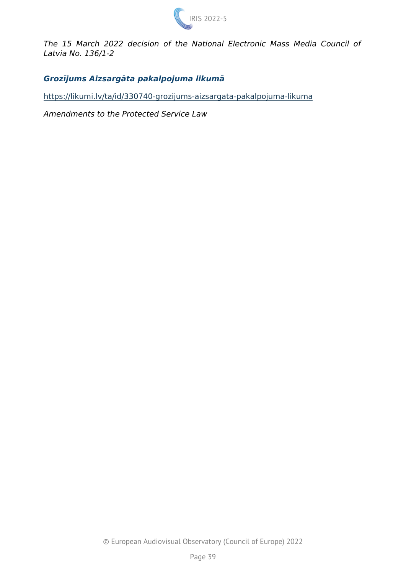The 15 March 2022 decision of the National Electronic Mass Latvia No. 136/1-2

Groz+jums Aizsarg ta pakalpojuma likum

[https://likumi.lv/ta/id/330740-grozijums-aizsargata](https://likumi.lv/ta/id/330740-grozijums-aizsargata-pakalpojuma-likuma)-pakalpojuma-liku

Amendments to the Protected Service Law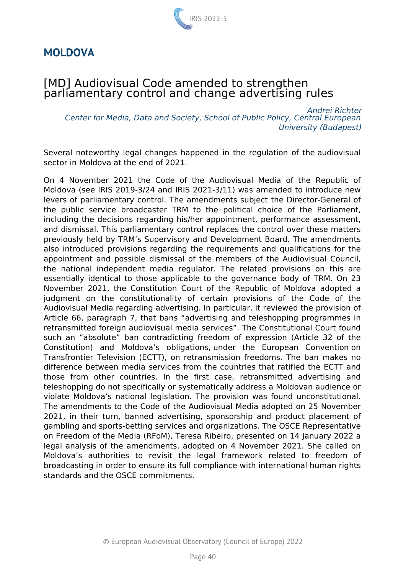

### <span id="page-39-0"></span>**MOLDOVA**

### [MD] Audiovisual Code amended to strengthen parliamentary control and change advertising rules

*Andrei Richter Center for Media, Data and Society, School of Public Policy, Central European University (Budapest)*

Several noteworthy legal changes happened in the regulation of the audiovisual sector in Moldova at the end of 2021.

On 4 November 2021 the Code of the Audiovisual Media of the Republic of Moldova (see IRIS 2019-3/24 and IRIS 2021-3/11) was amended to introduce new levers of parliamentary control. The amendments subject the Director-General of the public service broadcaster TRM to the political choice of the Parliament, including the decisions regarding his/her appointment, performance assessment, and dismissal. This parliamentary control replaces the control over these matters previously held by TRM's Supervisory and Development Board. The amendments also introduced provisions regarding the requirements and qualifications for the appointment and possible dismissal of the members of the Audiovisual Council, the national independent media regulator. The related provisions on this are essentially identical to those applicable to the governance body of TRM. On 23 November 2021, the Constitution Court of the Republic of Moldova adopted a judgment on the constitutionality of certain provisions of the Code of the Audiovisual Media regarding advertising. In particular, it reviewed the provision of Article 66, paragraph 7, that bans "advertising and teleshopping programmes in retransmitted foreign audiovisual media services". The Constitutional Court found such an "absolute" ban contradicting freedom of expression (Article 32 of the Constitution) and Moldova's obligations, under the European Convention on Transfrontier Television (ECTT), on retransmission freedoms. The ban makes no difference between media services from the countries that ratified the ECTT and those from other countries. In the first case, retransmitted advertising and teleshopping do not specifically or systematically address a Moldovan audience or violate Moldova's national legislation. The provision was found unconstitutional. The amendments to the Code of the Audiovisual Media adopted on 25 November 2021, in their turn, banned advertising, sponsorship and product placement of gambling and sports-betting services and organizations. The OSCE Representative on Freedom of the Media (RFoM), Teresa Ribeiro, presented on 14 January 2022 a legal analysis of the amendments, adopted on 4 November 2021. She called on Moldova's authorities to revisit the legal framework related to freedom of broadcasting in order to ensure its full compliance with international human rights standards and the OSCE commitments.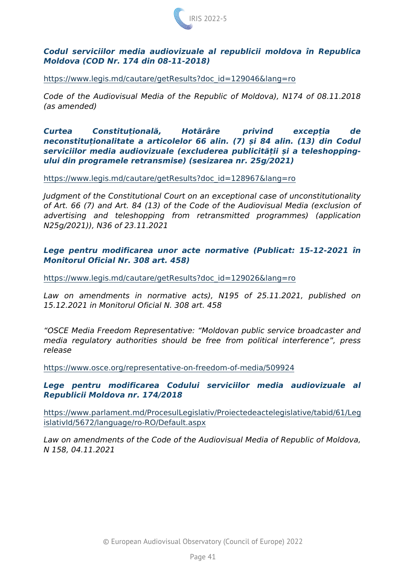Codul serviciilor media audiovizuale al republicii moldova în Moldova (COD Nr. 174 din 08-11-2018)

[https://www.legis.md/cautare/getResults?doc\\_id](https://www.legis.md/cautare/getResults?doc_id=129046&lang=ro)=129046&lang=ro

Code of the Audiovisual Media of the Republic of Moldova), N1 (as amended)þÿ

Curtea Constitu-ional, Hot-râre privind neconstitu ionalitate a articolelor 66 alin. (7) i 84 alin. (13) serviciilor media audiovizuale (excluderea publicit ii i a telesh ului din programele retransmise) (sesizarea nr. 25g/2021)

[https://www.legis.md/cautare/getResults?doc\\_id](https://www.legis.md/cautare/getResults?doc_id=128967&lang=ro)=128967&lang=ro

Judgment of the Constitutional Court on an exceptional case of u of Art. 66 (7) and Art. 84 (13) of the Code of the Audiovisual M advertising and teleshopping from retransmitted programm N25g/2021)), N36 of 23.11.2021

Lege pentru modificarea unor acte normative (Publicat: 15-12 Monitorul Oficial Nr. 308 art. 458)

[https://www.legis.md/cautare/getResults?doc\\_id](https://www.legis.md/cautare/getResults?doc_id=129026&lang=ro)=129026&lang=ro

Law on amendments in normative acts), N195 of 25.11.202 15.12.2021 in Monitorul Oficial N. 308 art. 458

OSCE Media Freedom Representative: Moldovan public service media regulatory authorities should be free from political in release

[https://www.osce.org/representative-on-freedom](https://www.osce.org/representative-on-freedom-of-media/509924)-of-media/509924

Lege pentru modificarea Codului serviciilor media audio Republicii Moldova nr. 174/2018

[https://www.parlament.md/ProcesulLegislativ/Proiectedeact](https://www.parlament.md/ProcesulLegislativ/Proiectedeactelegislative/tabid/61/LegislativId/5672/language/ro-RO/Default.aspx)elegislat [islativId/5672/language/ro-RO/](https://www.parlament.md/ProcesulLegislativ/Proiectedeactelegislative/tabid/61/LegislativId/5672/language/ro-RO/Default.aspx)Default.aspx

Law on amendments of the Code of the Audiovisual Media of Repu N 158, 04.11.2021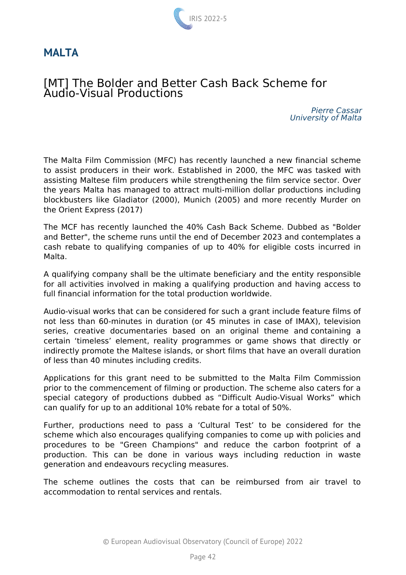

### <span id="page-41-0"></span>**MALTA**

### [MT] The Bolder and Better Cash Back Scheme for Audio-Visual Productions

*Pierre Cassar University of Malta*

The Malta Film Commission (MFC) has recently launched a new financial scheme to assist producers in their work. Established in 2000, the MFC was tasked with assisting Maltese film producers while strengthening the film service sector. Over the years Malta has managed to attract multi-million dollar productions including blockbusters like Gladiator (2000), Munich (2005) and more recently Murder on the Orient Express (2017)

The MCF has recently launched the 40% Cash Back Scheme. Dubbed as "Bolder and Better", the scheme runs until the end of December 2023 and contemplates a cash rebate to qualifying companies of up to 40% for eligible costs incurred in Malta.

A qualifying company shall be the ultimate beneficiary and the entity responsible for all activities involved in making a qualifying production and having access to full financial information for the total production worldwide.

Audio-visual works that can be considered for such a grant include feature films of not less than 60-minutes in duration (or 45 minutes in case of IMAX), television series, creative documentaries based on an original theme and containing a certain 'timeless' element, reality programmes or game shows that directly or indirectly promote the Maltese islands, or short films that have an overall duration of less than 40 minutes including credits.

Applications for this grant need to be submitted to the Malta Film Commission prior to the commencement of filming or production. The scheme also caters for a special category of productions dubbed as "Difficult Audio-Visual Works" which can qualify for up to an additional 10% rebate for a total of 50%.

Further, productions need to pass a 'Cultural Test' to be considered for the scheme which also encourages qualifying companies to come up with policies and procedures to be "Green Champions" and reduce the carbon footprint of a production. This can be done in various ways including reduction in waste generation and endeavours recycling measures.

The scheme outlines the costs that can be reimbursed from air travel to accommodation to rental services and rentals.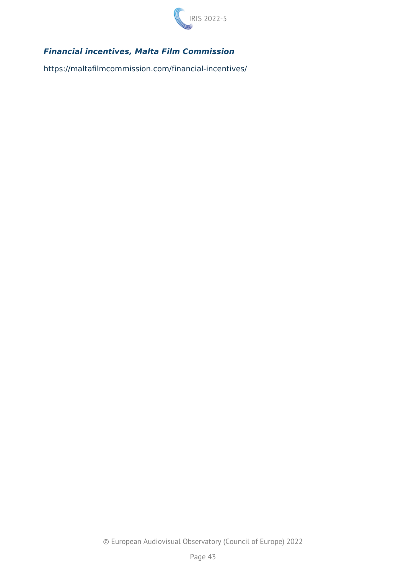Financial incentives, Malta Film Commission

[https://maltafilmcommission.com/finan](https://maltafilmcommission.com/financial-incentives/)cial-incentives/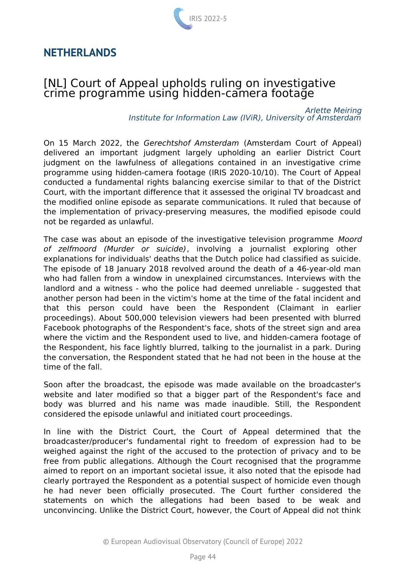

### <span id="page-43-0"></span>**NETHERLANDS**

### [NL] Court of Appeal upholds ruling on investigative crime programme using hidden-camera footage

#### *Arlette Meiring Institute for Information Law (IViR), University of Amsterdam*

On 15 March 2022, the *Gerechtshof Amsterdam* (Amsterdam Court of Appeal) delivered an important judgment largely upholding an earlier District Court judgment on the lawfulness of allegations contained in an investigative crime programme using hidden-camera footage (IRIS 2020-10/10). The Court of Appeal conducted a fundamental rights balancing exercise similar to that of the District Court, with the important difference that it assessed the original TV broadcast and the modified online episode as separate communications. It ruled that because of the implementation of privacy-preserving measures, the modified episode could not be regarded as unlawful.

The case was about an episode of the investigative television programme *Moord of zelfmoord (Murder or suicide)*, involving a journalist exploring other explanations for individuals' deaths that the Dutch police had classified as suicide. The episode of 18 January 2018 revolved around the death of a 46-year-old man who had fallen from a window in unexplained circumstances. Interviews with the landlord and a witness - who the police had deemed unreliable - suggested that another person had been in the victim's home at the time of the fatal incident and that this person could have been the Respondent (Claimant in earlier proceedings). About 500,000 television viewers had been presented with blurred Facebook photographs of the Respondent's face, shots of the street sign and area where the victim and the Respondent used to live, and hidden-camera footage of the Respondent, his face lightly blurred, talking to the journalist in a park. During the conversation, the Respondent stated that he had not been in the house at the time of the fall.

Soon after the broadcast, the episode was made available on the broadcaster's website and later modified so that a bigger part of the Respondent's face and body was blurred and his name was made inaudible. Still, the Respondent considered the episode unlawful and initiated court proceedings.

In line with the District Court, the Court of Appeal determined that the broadcaster/producer's fundamental right to freedom of expression had to be weighed against the right of the accused to the protection of privacy and to be free from public allegations. Although the Court recognised that the programme aimed to report on an important societal issue, it also noted that the episode had clearly portrayed the Respondent as a potential suspect of homicide even though he had never been officially prosecuted. The Court further considered the statements on which the allegations had been based to be weak and unconvincing. Unlike the District Court, however, the Court of Appeal did not think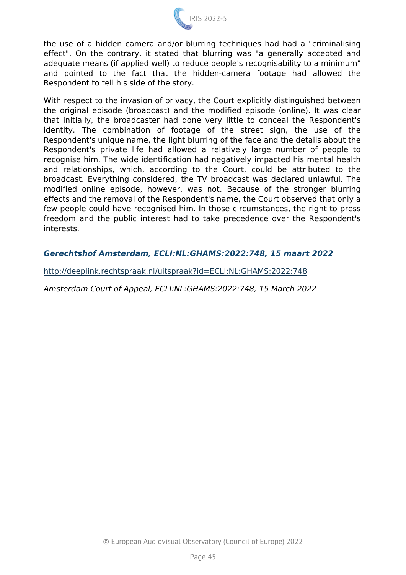the use of a hidden camera and/or blurring techniques had had effect". On the contrary, it stated that blurring was "a gener adequate means (if applied well) to reduce people's recognisabilit and pointed to the fact that the hidden-camera footage Respondent to tell his side of the story.

With respect to the invasion of privacy, the Court explicitly disting the original episode (broadcast) and the modified episode (onl that initially, the broadcaster had done very little to conceal identity. The combination of footage of the street sign Respondent's unique name, the light blurring of the face and the Respondent's private life had allowed a relatively large nur recognise him. The wide identification had negatively impacted h and relationships, which, according to the Court, could be broadcast. Everything considered, the TV broadcast was declar modified online episode, however, was not. Because of the effects and the removal of the Respondent's name, the Court obse few people could have recognised him. In those circumstances, t freedom and the public interest had to take precedence over the interests.

Gerechtshof Amsterdam, ECLI:NL:GHAMS:2022:748, 15 maart 2022

[http://deeplink.rechtspraak.nl/uitspraak?id=ECLI:](http://deeplink.rechtspraak.nl/uitspraak?id=ECLI:NL:GHAMS:2022:748)NL:GHAMS:2022:74

Amsterdam Court of Appeal, ECLI:NL:GHAMS:2022:748, 15 March 2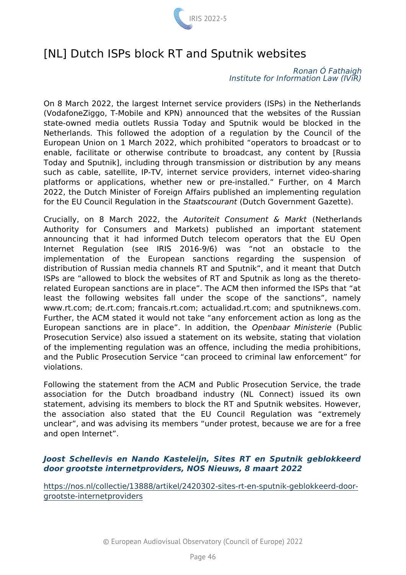### <span id="page-45-0"></span>[NL] Dutch ISPs block RT and Sputnik websit

#### Ronan Ó Fathaigh Institute for Information Law (IV

On 8 March 2022, the largest Internet service providers (ISPs) in (VodafoneZiggo, T-Mobile and KPN) announced that the website state-owned media outlets Russia Today and Sputnik would b Netherlands. This followed the adoption of a regulation by the European Union on 1 March 2022, which prohibited operators to enable, facilitate or otherwise contribute to broadcast, any c Today and Sputnik], including through transmission or distribution such as cable, satellite, IP-TV, internet service providers, int platforms or applications, whether new or pre-installed. Further, on 2022, the Dutch Minister of Foreign Affairs published an implem for the EU Council Regula Sitoanatisn colour & Dutch Government Gazette).

Crucially, on 8 March A2u0t2o2itethe Consument & Nethtandshekrtlands Authority for Consumers and Markets) published an im announcing that it had informed Dutch telecom operators th Internet Regulation (see IRIS 2016-9/6) was not implementation of the European sanctions regarding the distribution of Russian media channels RT and Sputnik, and it ISPs are allowed to block the websites of RT and Sputnik as lo related European sanctions are in place. The ACM then informed least the following websites fall under the scope of the www.rt.com; de.rt.com; francais.rt.com; actualidad.rt.com; and sput Further, the ACM stated it would not take any enforcement action European sanctions are in place . Opeard data in the Enublic Prosecution Service) also issued a statement on its website, sta of the implementing regulation was an offence, including the me and the Public Prosecution Service can proceed to criminal law violations.

Following the statement from the ACM and Public Prosecution S association for the Dutch broadband industry (NL Connection statement, advising its members to block the RT and Sputnik we the association also stated that the EU Council Regulation unclear, and was advising its members under protest, because w and open Internet .

Joost Schellevis en Nando Kasteleijn, Sites RT en Sputnik ge door grootste internetproviders, NOS Nieuws, 8 maart 2022

[https://nos.nl/collectie/13888/artikel/2420302-sites-rt-en-s](https://nos.nl/collectie/13888/artikel/2420302-sites-rt-en-sputnik-geblokkeerd-door-grootste-internetproviders)putnik-ge [grootste-internetpr](https://nos.nl/collectie/13888/artikel/2420302-sites-rt-en-sputnik-geblokkeerd-door-grootste-internetproviders)oviders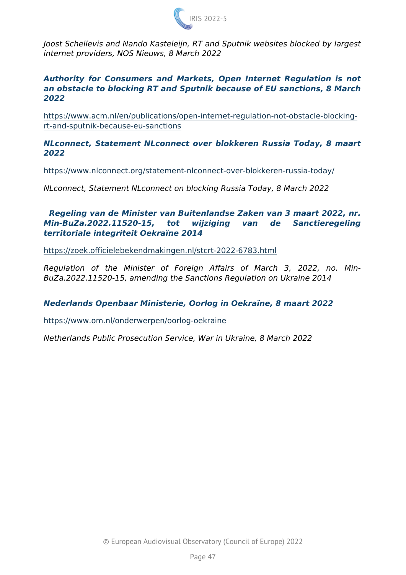Joost Schellevis and Nando Kasteleijn, RT and Sputnik websites b internet providers, NOS Nieuws, 8 March 2022

Authority for Consumers and Markets, Open Internet Regulation an obstacle to blocking RT and Sputnik because of EU sanctions, 2022

[https://www.acm.nl/en/publications/open-internet-regulatio](https://www.acm.nl/en/publications/open-internet-regulation-not-obstacle-blocking-rt-and-sputnik-because-eu-sanctions)n-not-obstacle[rt-and-sputnik-because-eu](https://www.acm.nl/en/publications/open-internet-regulation-not-obstacle-blocking-rt-and-sputnik-because-eu-sanctions)-sanctions

NLconnect, Statement NLconnect over blokkeren Russia Today, 2022

[https://www.nlconnect.org/statement-nlconnect-over-bl](https://www.nlconnect.org/statement-nlconnect-over-blokkeren-russia-today/)okkeren-russi

NLconnect, Statement NLconnect on blocking Russia Today, 8 Mar

Regeling van de Minister van Buitenlandse Zaken van 3 maart 20 Min-BuZa.2022.11520-15, tot wijziging van de Sa territoriale integriteit Oekraïne 2014

[https://zoek.officielebekendmakingen.nl/stc](https://zoek.officielebekendmakingen.nl/stcrt-2022-6783.html)rt-2022-6783.html

Regulation of the Minister of Foreign Affairs of March BuZa.2022.11520-15, amending the Sanctions Regulation on Ukrain

Nederlands Openbaar Ministerie, Oorlog in Oekraïne, 8 maart 2022

[https://www.om.nl/onderwerpen/oo](https://www.om.nl/onderwerpen/oorlog-oekraine)rlog-oekraine

Netherlands Public Prosecution Service, War in Ukraine, 8 March 2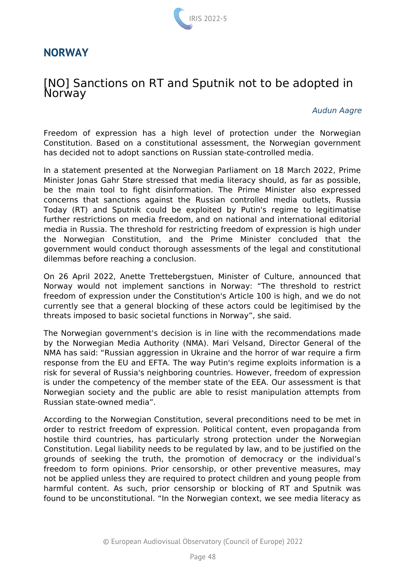

### <span id="page-47-0"></span>**NORWAY**

### [NO] Sanctions on RT and Sputnik not to be adopted in **Norway**

#### *Audun Aagre*

Freedom of expression has a high level of protection under the Norwegian Constitution. Based on a constitutional assessment, the Norwegian government has decided not to adopt sanctions on Russian state-controlled media.

In a statement presented at the Norwegian Parliament on 18 March 2022, Prime Minister Jonas Gahr Støre stressed that media literacy should, as far as possible, be the main tool to fight disinformation. The Prime Minister also expressed concerns that sanctions against the Russian controlled media outlets, Russia Today (RT) and Sputnik could be exploited by Putin's regime to legitimatise further restrictions on media freedom, and on national and international editorial media in Russia. The threshold for restricting freedom of expression is high under the Norwegian Constitution, and the Prime Minister concluded that the government would conduct thorough assessments of the legal and constitutional dilemmas before reaching a conclusion.

On 26 April 2022, Anette Trettebergstuen, Minister of Culture, announced that Norway would not implement sanctions in Norway: "The threshold to restrict freedom of expression under the Constitution's Article 100 is high, and we do not currently see that a general blocking of these actors could be legitimised by the threats imposed to basic societal functions in Norway", she said.

The Norwegian government's decision is in line with the recommendations made by the Norwegian Media Authority (NMA). Mari Velsand, Director General of the NMA has said: "Russian aggression in Ukraine and the horror of war require a firm response from the EU and EFTA. The way Putin's regime exploits information is a risk for several of Russia's neighboring countries. However, freedom of expression is under the competency of the member state of the EEA. Our assessment is that Norwegian society and the public are able to resist manipulation attempts from Russian state-owned media".

According to the Norwegian Constitution, several preconditions need to be met in order to restrict freedom of expression. Political content, even propaganda from hostile third countries, has particularly strong protection under the Norwegian Constitution. Legal liability needs to be regulated by law, and to be justified on the grounds of seeking the truth, the promotion of democracy or the individual's freedom to form opinions. Prior censorship, or other preventive measures, may not be applied unless they are required to protect children and young people from harmful content. As such, prior censorship or blocking of RT and Sputnik was found to be unconstitutional. "In the Norwegian context, we see media literacy as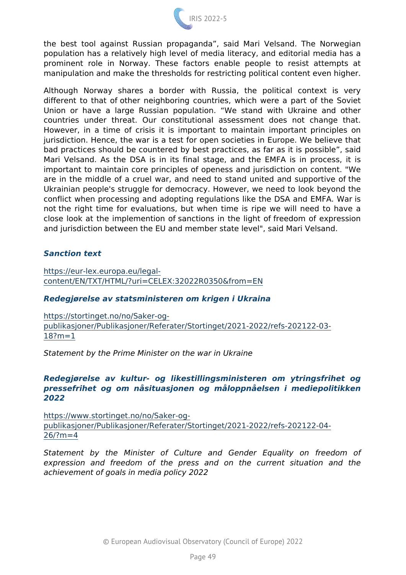the best tool against Russian propaganda, said Mari Velsan population has a relatively high level of media literacy, and edit prominent role in Norway. These factors enable people to manipulation and make the thresholds for restricting political cont

Although Norway shares a border with Russia, the politic different to that of other neighboring countries, which were a Union or have a large Russian population. We stand with countries under threat. Our constitutional assessment does However, in a time of crisis it is important to maintain import jurisdiction. Hence, the war is a test for open societies in Europ bad practices should be countered by best practices, as far as it Mari Velsand. As the DSA is in its final stage, and the EMFA important to maintain core principles of openess and jurisdiction are in the middle of a cruel war, and need to stand united and Ukrainian people's struggle for democracy. However, we need to conflict when processing and adopting regulations like the DSA and EMFA. not the right time for evaluations, but when time is ripe we wi close look at the implemention of sanctions in the light of freed and jurisdiction between the EU and member state level", said Mar

#### Sanction text

[https://eur-lex.europa](https://eur-lex.europa.eu/legal-content/EN/TXT/HTML/?uri=CELEX:32022R0350&from=EN).eu/legal [content/EN/TXT/HTML/?uri=CELEX:32022R](https://eur-lex.europa.eu/legal-content/EN/TXT/HTML/?uri=CELEX:32022R0350&from=EN)0350&from=EN

Redegjørelse av statsministeren om krigen i Ukraina

[https://stortinget.no/no](https://stortinget.no/no/Saker-og-publikasjoner/Publikasjoner/Referater/Stortinget/2021-2022/refs-202122-03-18?m=1)/Saker-og-

[publikasjoner/Publikasjoner/Referater/Stortinget/2021](https://stortinget.no/no/Saker-og-publikasjoner/Publikasjoner/Referater/Stortinget/2021-2022/refs-202122-03-18?m=1)-2022/refs-20  $18? m = 1$ 

Statement by the Prime Minister on the war in Ukraine

Redegjørelse av kultur- og likestillingsministeren om ytrings pressefrihet og om nåsituasjonen og måloppnåelsen i mediepo 2022

[https://www.stortinget.no/n](https://www.stortinget.no/no/Saker-og-publikasjoner/Publikasjoner/Referater/Stortinget/2021-2022/refs-202122-04-26/?m=4)o/Saker-og [publikasjoner/Publikasjoner/Referater/Stortinget/2021](https://www.stortinget.no/no/Saker-og-publikasjoner/Publikasjoner/Referater/Stortinget/2021-2022/refs-202122-04-26/?m=4)-2022/refs-20  $26/?m=4$  $26/?m=4$ 

Statement by the Minister of Culture and Gender Equali expression and freedom of the press and on the current achievement of goals in media policy 2022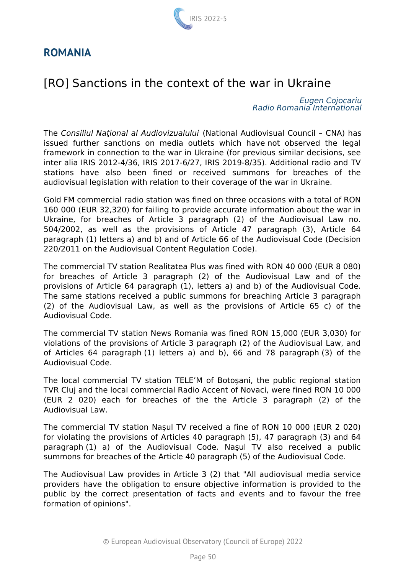

# <span id="page-49-0"></span>**ROMANIA**

# [RO] Sanctions in the context of the war in Ukraine

*Eugen Cojocariu Radio Romania International*

The *Consiliul Naţional al Audiovizualului* (National Audiovisual Council – CNA) has issued further sanctions on media outlets which have not observed the legal framework in connection to the war in Ukraine (for previous similar decisions, see inter alia IRIS 2012-4/36, IRIS 2017-6/27, IRIS 2019-8/35). Additional radio and TV stations have also been fined or received summons for breaches of the audiovisual legislation with relation to their coverage of the war in Ukraine.

Gold FM commercial radio station was fined on three occasions with a total of RON 160 000 (EUR 32,320) for failing to provide accurate information about the war in Ukraine, for breaches of Article 3 paragraph (2) of the Audiovisual Law no. 504/2002, as well as the provisions of Article 47 paragraph (3), Article 64 paragraph (1) letters a) and b) and of Article 66 of the Audiovisual Code (Decision 220/2011 on the Audiovisual Content Regulation Code).

The commercial TV station Realitatea Plus was fined with RON 40 000 (EUR 8 080) for breaches of Article 3 paragraph (2) of the Audiovisual Law and of the provisions of Article 64 paragraph (1), letters a) and b) of the Audiovisual Code. The same stations received a public summons for breaching Article 3 paragraph (2) of the Audiovisual Law, as well as the provisions of Article 65 c) of the Audiovisual Code.

The commercial TV station News Romania was fined RON 15,000 (EUR 3,030) for violations of the provisions of Article 3 paragraph (2) of the Audiovisual Law, and of Articles 64 paragraph (1) letters a) and b), 66 and 78 paragraph (3) of the Audiovisual Code.

The local commercial TV station TELE'M of Botoșani, the public regional station TVR Cluj and the local commercial Radio Accent of Novaci, were fined RON 10 000 (EUR 2 020) each for breaches of the the Article 3 paragraph (2) of the Audiovisual Law.

The commercial TV station Nașul TV received a fine of RON 10 000 (EUR 2 020) for violating the provisions of Articles 40 paragraph (5), 47 paragraph (3) and 64 paragraph (1) a) of the Audiovisual Code. Naşul TV also received a public summons for breaches of the Article 40 paragraph (5) of the Audiovisual Code.

The Audiovisual Law provides in Article 3 (2) that "All audiovisual media service providers have the obligation to ensure objective information is provided to the public by the correct presentation of facts and events and to favour the free formation of opinions".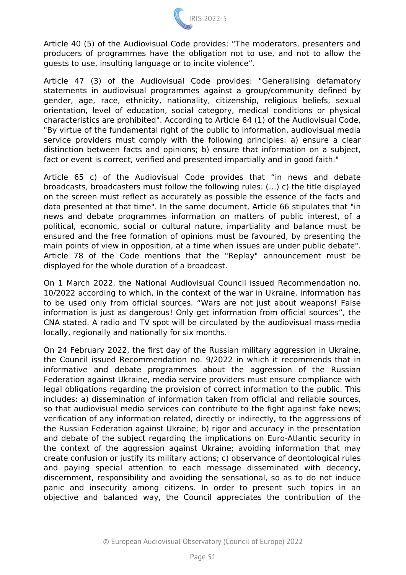

Article 40 (5) of the Audiovisual Code provides: "The moderators, presenters and producers of programmes have the obligation not to use, and not to allow the guests to use, insulting language or to incite violence".

Article 47 (3) of the Audiovisual Code provides: "Generalising defamatory statements in audiovisual programmes against a group/community defined by gender, age, race, ethnicity, nationality, citizenship, religious beliefs, sexual orientation, level of education, social category, medical conditions or physical characteristics are prohibited". According to Article 64 (1) of the Audiovisual Code, "By virtue of the fundamental right of the public to information, audiovisual media service providers must comply with the following principles: a) ensure a clear distinction between facts and opinions; b) ensure that information on a subject, fact or event is correct, verified and presented impartially and in good faith."

Article 65 c) of the Audiovisual Code provides that "in news and debate broadcasts, broadcasters must follow the following rules: (…) c) the title displayed on the screen must reflect as accurately as possible the essence of the facts and data presented at that time". In the same document, Article 66 stipulates that "in news and debate programmes information on matters of public interest, of a political, economic, social or cultural nature, impartiality and balance must be ensured and the free formation of opinions must be favoured, by presenting the main points of view in opposition, at a time when issues are under public debate". Article 78 of the Code mentions that the "Replay" announcement must be displayed for the whole duration of a broadcast.

On 1 March 2022, the National Audiovisual Council issued Recommendation no. 10/2022 according to which, in the context of the war in Ukraine, information has to be used only from official sources. "Wars are not just about weapons! False information is just as dangerous! Only get information from official sources", the CNA stated. A radio and TV spot will be circulated by the audiovisual mass-media locally, regionally and nationally for six months.

On 24 February 2022, the first day of the Russian military aggression in Ukraine, the Council issued Recommendation no. 9/2022 in which it recommends that in informative and debate programmes about the aggression of the Russian Federation against Ukraine, media service providers must ensure compliance with legal obligations regarding the provision of correct information to the public. This includes: a) dissemination of information taken from official and reliable sources, so that audiovisual media services can contribute to the fight against fake news; verification of any information related, directly or indirectly, to the aggressions of the Russian Federation against Ukraine; b) rigor and accuracy in the presentation and debate of the subject regarding the implications on Euro-Atlantic security in the context of the aggression against Ukraine; avoiding information that may create confusion or justify its military actions; c) observance of deontological rules and paying special attention to each message disseminated with decency, discernment, responsibility and avoiding the sensational, so as to do not induce panic and insecurity among citizens. In order to present such topics in an objective and balanced way, the Council appreciates the contribution of the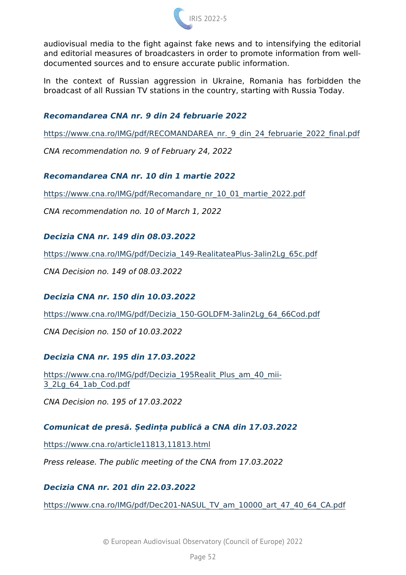audiovisual media to the fight against fake news and to intensif and editorial measures of broadcasters in order to promote inform documented sources and to ensure accurate public information.

In the context of Russian aggression in Ukraine, Romania broadcast of all Russian TV stations in the country, starting with

Recomandarea CNA nr. 9 din 24 februarie 2022

[https://www.cna.ro/IMG/pdf/RECOMANDAREA\\_nr.\\_9\\_din\\_24\\_](https://www.cna.ro/IMG/pdf/RECOMANDAREA_nr._9_din_24_februarie_2022_final.pdf)februari

CNA recommendation no. 9 of February 24, 2022

Recomandarea CNA nr. 10 din 1 martie 2022

[https://www.cna.ro/IMG/pdf/Recomandare\\_nr\\_10\\_](https://www.cna.ro/IMG/pdf/Recomandare_nr_10_01_martie_2022.pdf)01\_martie\_2022.pdf CNA recommendation no. 10 of March 1, 2022

Decizia CNA nr. 149 din 08.03.2022

[https://www.cna.ro/IMG/pdf/Decizia\\_149-Realitatea](https://www.cna.ro/IMG/pdf/Decizia_149-RealitateaPlus-3alin2Lg_65c.pdf)Plus-3alin2Lg\_65

CNA Decision no. 149 of 08.03.2022

Decizia CNA nr. 150 din 10.03.2022

[https://www.cna.ro/IMG/pdf/Decizia\\_150-GOLDFM-3a](https://www.cna.ro/IMG/pdf/Decizia_150-GOLDFM-3alin2Lg_64_66Cod.pdf)lin2Lg\_64\_66Cc

CNA Decision no. 150 of 10.03.2022

Decizia CNA nr. 195 din 17.03.2022

[https://www.cna.ro/IMG/pdf/Decizia\\_195Real](https://www.cna.ro/IMG/pdf/Decizia_195Realit_Plus_am_40_mii-3_2Lg_64_1ab_Cod.pdf)it\_Plus\_am\_40\_mii- [3\\_2Lg\\_64\\_1ab\\_C](https://www.cna.ro/IMG/pdf/Decizia_195Realit_Plus_am_40_mii-3_2Lg_64_1ab_Cod.pdf)od.pdf

CNA Decision no. 195 of 17.03.2022

Comunicat de pres. edin a public a CNA din 17.03.2022

[https://www.cna.ro/article11813](https://www.cna.ro/article11813,11813.html),11813.html

Press release. The public meeting of the CNA from 17.03.2022

Decizia CNA nr. 201 din 22.03.2022

[https://www.cna.ro/IMG/pdf/Dec201-NASUL\\_TV\\_am\\_10000](https://www.cna.ro/IMG/pdf/Dec201-NASUL_TV_am_10000_art_47_40_64_CA.pdf)\_art\_47\_40

© European Audiovisual Observatory (Council of Europe) 2022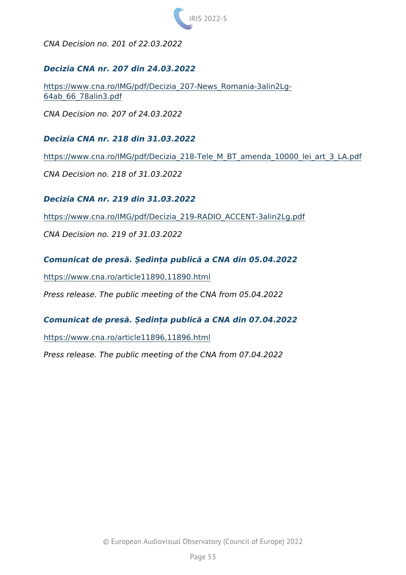CNA Decision no. 201 of 22.03.2022

Decizia CNA nr. 207 din 24.03.2022

[https://www.cna.ro/IMG/pdf/Decizia\\_207-News\\_](https://www.cna.ro/IMG/pdf/Decizia_207-News_Romania-3alin2Lg-64ab_66_78alin3.pdf)Romania-3alin2Lg- [64ab\\_66\\_78alin](https://www.cna.ro/IMG/pdf/Decizia_207-News_Romania-3alin2Lg-64ab_66_78alin3.pdf)3.pdf

CNA Decision no. 207 of 24.03.2022

Decizia CNA nr. 218 din 31.03.2022

[https://www.cna.ro/IMG/pdf/Decizia\\_218-Tele\\_M\\_BT\\_amenda](https://www.cna.ro/IMG/pdf/Decizia_218-Tele_M_BT_amenda_10000_lei_art_3_LA.pdf)\_10000\_ CNA Decision no. 218 of 31.03.2022

Decizia CNA nr. 219 din 31.03.2022

[https://www.cna.ro/IMG/pdf/Decizia\\_219-RADIO\\_A](https://www.cna.ro/IMG/pdf/Decizia_219-RADIO_ACCENT-3alin2Lg.pdf)CCENT-3alin2Lg.p

CNA Decision no. 219 of 31.03.2022

Comunicat de pres. edin a public a CNA din 05.04.2022 [https://www.cna.ro/article11890](https://www.cna.ro/article11890,11890.html),11890.html

Press release. The public meeting of the CNA from 05.04.2022

Comunicat de pres. edin a public a CNA din 07.04.2022 [https://www.cna.ro/article11896](https://www.cna.ro/article11896,11896.html),11896.html

Press release. The public meeting of the CNA from 07.04.2022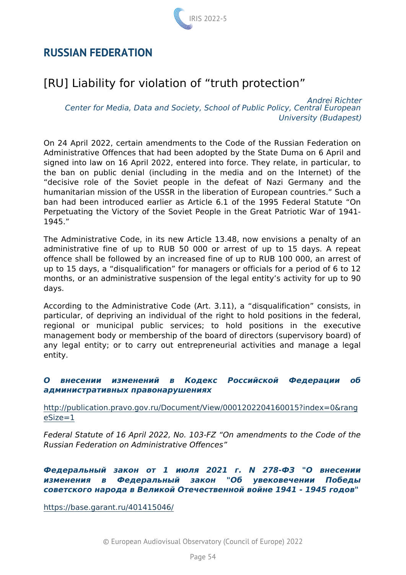### <span id="page-53-0"></span>RUSSIAN FEDERATION

### [RU] Liability for violation of truth protection

Andrei Richter Center for Media, Data and Society, School of Public Policy, C University (Budapest)

On 24 April 2022, certain amendments to the Code of the Russia Administrative Offences that had been adopted by the State Duma signed into law on 16 April 2022, entered into force. They relate the ban on public denial (including in the media and on th decisive role of the Soviet people in the defeat of Naz humanitarian mission of the USSR in the liberation of European c ban had been introduced earlier as Article 6.1 of the 1995 Fe Perpetuating the Victory of the Soviet People in the Great Patr 1945.

The Administrative Code, in its new Article 13.48, now envision administrative fine of up to RUB 50 000 or arrest of up to offence shall be followed by an increased fine of up to RUB 100 up to 15 days, a disqualification for managers or officials for a months, or an administrative suspension of the legal entity s act days.

According to the Administrative Code (Art. 3.11), a disqualific particular, of depriving an individual of the right to hold positi regional or municipal public services; to hold positions management body or membership of the board of directors (superv any legal entity; or to carry out entrepreneurial activities an entity.

 $2=5A5=88$   $87<5=5=89$  2  $>45:A$   $>AA89A:>9$  \$54 04<8=8AB@0B82=KE ?@02>=0@CH5=8OE

[http://publication.pravo.gov.ru/Document/View/0001202204](http://publication.pravo.gov.ru/Document/View/0001202204160015?index=0&rangeSize=1)160015?i [eSize=](http://publication.pravo.gov.ru/Document/View/0001202204160015?index=0&rangeSize=1)1

Federal Statute of 16 April 2022, No. 103-FZ On amendments to Russian Federation on Administrative Offences

 $$545@0; L=K9$  70: $>=$  >B 1 8N;O 2021 3. N 278-\$  $87 < 5 = 5 = 8$  Q  $2$   $$545@0; L=K9$   $70:>=$   $1$   $C25: >25G5=88$  $A > 25BA: > 3 > 0$   $@ > 40$  2  $5:8: > 9$  B5G5AB25 = = > 9 2 > 9 = 5 1941 - 1945

[https://base.garant.ru/40](https://base.garant.ru/401415046/)1415046/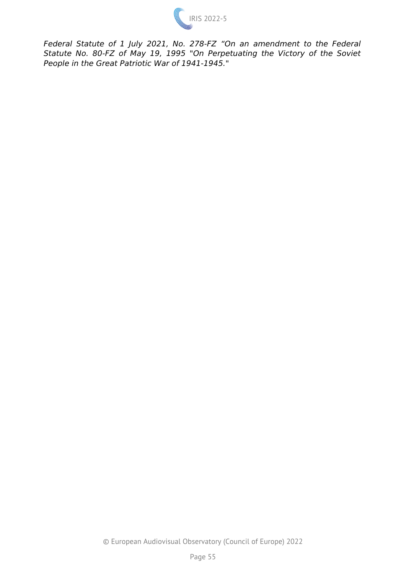

*Federal Statute of 1 July 2021, No. 278-FZ "On an amendment to the Federal Statute No. 80-FZ of May 19, 1995 "On Perpetuating the Victory of the Soviet People in the Great Patriotic War of 1941-1945."*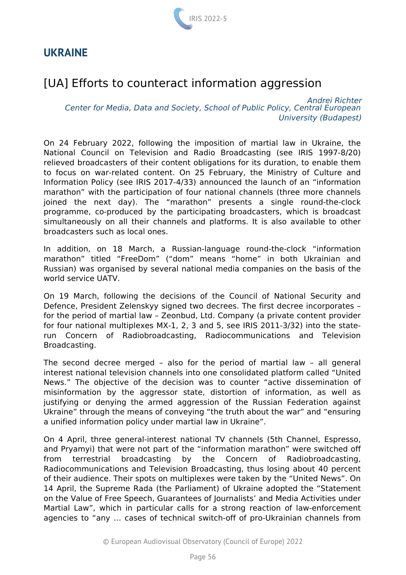

## <span id="page-55-0"></span>**UKRAINE**

# [UA] Efforts to counteract information aggression

*Andrei Richter Center for Media, Data and Society, School of Public Policy, Central European University (Budapest)*

On 24 February 2022, following the imposition of martial law in Ukraine, the National Council on Television and Radio Broadcasting (see IRIS 1997-8/20) relieved broadcasters of their content obligations for its duration, to enable them to focus on war-related content. On 25 February, the Ministry of Culture and Information Policy (see IRIS 2017-4/33) announced the launch of an "information marathon" with the participation of four national channels (three more channels joined the next day). The "marathon" presents a single round-the-clock programme, co-produced by the participating broadcasters, which is broadcast simultaneously on all their channels and platforms. It is also available to other broadcasters such as local ones.

In addition, on 18 March, a Russian-language round-the-clock "information marathon" titled "FreeDom" ("dom" means "home" in both Ukrainian and Russian) was organised by several national media companies on the basis of the world service UATV.

On 19 March, following the decisions of the Council of National Security and Defence, President Zelenskyy signed two decrees. The first decree incorporates – for the period of martial law – Zeonbud, Ltd. Company (a private content provider for four national multiplexes MX-1, 2, 3 and 5, see IRIS 2011-3/32) into the staterun Concern of Radiobroadcasting, Radiocommunications and Television Broadcasting.

The second decree merged – also for the period of martial law – all general interest national television channels into one consolidated platform called "United News." The objective of the decision was to counter "active dissemination of misinformation by the aggressor state, distortion of information, as well as justifying or denying the armed aggression of the Russian Federation against Ukraine" through the means of conveying "the truth about the war" and "ensuring a unified information policy under martial law in Ukraine".

On 4 April, three general-interest national TV channels (5th Channel, Espresso, and Pryamyi) that were not part of the "information marathon" were switched off from terrestrial broadcasting by the Concern of Radiobroadcasting, Radiocommunications and Television Broadcasting, thus losing about 40 percent of their audience. Their spots on multiplexes were taken by the "United News". On 14 April, the Supreme Rada (the Parliament) of Ukraine adopted the "Statement on the Value of Free Speech, Guarantees of Journalists' and Media Activities under Martial Law", which in particular calls for a strong reaction of law-enforcement agencies to "any … cases of technical switch-off of pro-Ukrainian channels from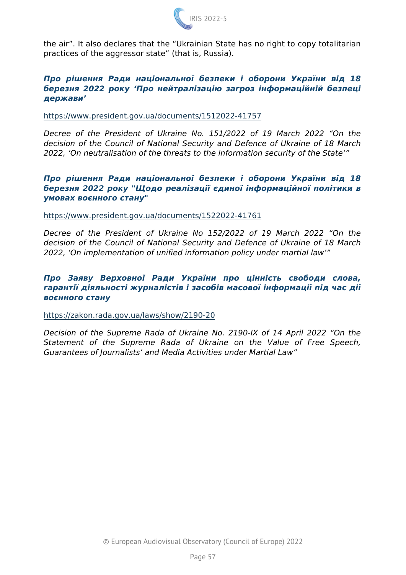the air. It also declares that the Ukrainian State has no right to practices of the aggressor state (that is, Russia).

 $@>$   $@>$   $@VH5==O$   $0.48$   $=0$   $FV>=0$ ; L  $=$  > W  $157$  ? 5:8 V  $>1$  >  $@>$  = 8 #: 0 15@57=O 2022 @>:C @> =59B@0;V70FVN 703@>7 V=D>@<0F 45@6028

[https://www.president.gov.ua/documents/](https://www.president.gov.ua/documents/1512022-41757)1512022-41757

Decree of the President of Ukraine No. 151/2022 of 19 Ma decision of the Council of National Security and Defence of Uk 2022, On neutralisation of the threats to the information security

 $@>$   $@VH5 == 0$  048 = 0 F V > = 0; L = > W 157?5:8 V > 1 >  $@> = 8$  #: 0  $15@57=O$  2022  $@>:C$  ")>4>  $@50;V70FVW$  T48=>W  $V=D>@<0FV9=>$  $C$  < > 20E  $2$  > T = = > 3 > AB0 = C"

[https://www.president.gov.ua/documents/](https://www.president.gov.ua/documents/1522022-41761)1522022-41761

Decree of the President of Ukraine No 152/2022 of 19 Ma decision of the Council of National Security and Defence of Uk 2022, On implementation of unified information policy under mart

 $@>$  0O2C 5 $@>2=>W$  048 #: $@0W=8$  ? $@>$  FV==VABL  $30@0=BVW 4VO; L=>ABV 6C@=0; VABV2 V 70A>1V2 <0A>2>W V=D>$  $2 > T = 3 > A B 0 = C$ 

[https://zakon.rada.gov.ua/laws/s](https://zakon.rada.gov.ua/laws/show/2190-20)how/2190-20

Decision of the Supreme Rada of Ukraine No. 2190-IX of 14 A Statement of the Supreme Rada of Ukraine on the Value Guarantees of Journalists and Media Activities under Martial Law